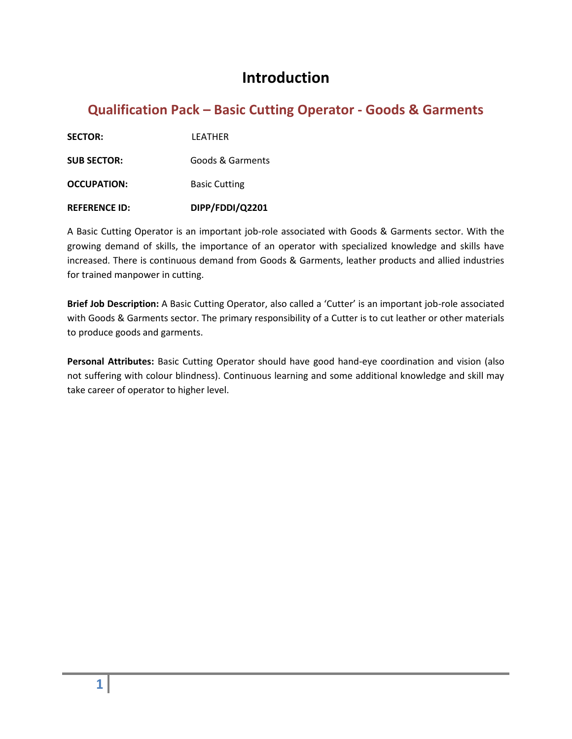#### **Introduction**

#### **Qualification Pack – Basic Cutting Operator - Goods & Garments**

**SECTOR:** LEATHER

**SUB SECTOR:** Goods & Garments

**OCCUPATION:** Basic Cutting

**REFERENCE ID: DIPP/FDDI/Q2201**

A Basic Cutting Operator is an important job-role associated with Goods & Garments sector. With the growing demand of skills, the importance of an operator with specialized knowledge and skills have increased. There is continuous demand from Goods & Garments, leather products and allied industries for trained manpower in cutting.

**Brief Job Description:** A Basic Cutting Operator, also called a 'Cutter' is an important job-role associated with Goods & Garments sector. The primary responsibility of a Cutter is to cut leather or other materials to produce goods and garments.

**Personal Attributes:** Basic Cutting Operator should have good hand-eye coordination and vision (also not suffering with colour blindness). Continuous learning and some additional knowledge and skill may take career of operator to higher level.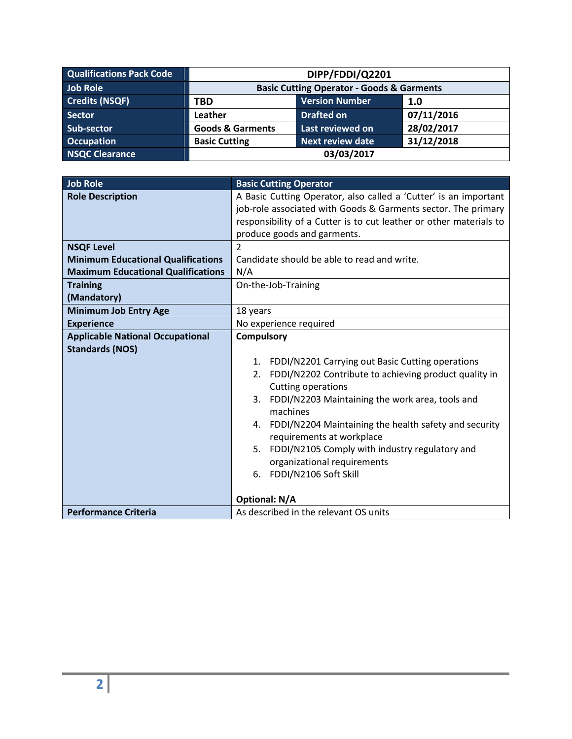| <b>Qualifications Pack Code</b> | DIPP/FDDI/Q2201                                      |                         |            |
|---------------------------------|------------------------------------------------------|-------------------------|------------|
| Job Role                        | <b>Basic Cutting Operator - Goods &amp; Garments</b> |                         |            |
| <b>Credits (NSQF)</b>           | <b>TBD</b>                                           | <b>Version Number</b>   | 1.0        |
| <b>Sector</b>                   | Leather                                              | <b>Drafted on</b>       | 07/11/2016 |
| Sub-sector                      | <b>Goods &amp; Garments</b>                          | Last reviewed on        | 28/02/2017 |
| <b>Occupation</b>               | <b>Basic Cutting</b>                                 | <b>Next review date</b> | 31/12/2018 |
| NSQC Clearance                  | 03/03/2017                                           |                         |            |

| <b>Job Role</b>                           | <b>Basic Cutting Operator</b>                                      |  |
|-------------------------------------------|--------------------------------------------------------------------|--|
| <b>Role Description</b>                   | A Basic Cutting Operator, also called a 'Cutter' is an important   |  |
|                                           | job-role associated with Goods & Garments sector. The primary      |  |
|                                           | responsibility of a Cutter is to cut leather or other materials to |  |
|                                           | produce goods and garments.                                        |  |
| <b>NSQF Level</b>                         | $\mathfrak{p}$                                                     |  |
| <b>Minimum Educational Qualifications</b> | Candidate should be able to read and write.                        |  |
| <b>Maximum Educational Qualifications</b> | N/A                                                                |  |
| <b>Training</b>                           | On-the-Job-Training                                                |  |
| (Mandatory)                               |                                                                    |  |
| <b>Minimum Job Entry Age</b>              | 18 years                                                           |  |
| <b>Experience</b>                         | No experience required                                             |  |
| <b>Applicable National Occupational</b>   | <b>Compulsory</b>                                                  |  |
| <b>Standards (NOS)</b>                    |                                                                    |  |
|                                           | FDDI/N2201 Carrying out Basic Cutting operations<br>1.             |  |
|                                           | FDDI/N2202 Contribute to achieving product quality in<br>2.        |  |
|                                           | Cutting operations                                                 |  |
|                                           | FDDI/N2203 Maintaining the work area, tools and<br>3.              |  |
|                                           | machines                                                           |  |
|                                           | 4. FDDI/N2204 Maintaining the health safety and security           |  |
|                                           | requirements at workplace                                          |  |
|                                           | FDDI/N2105 Comply with industry regulatory and<br>5.               |  |
|                                           | organizational requirements                                        |  |
|                                           | 6. FDDI/N2106 Soft Skill                                           |  |
|                                           |                                                                    |  |
|                                           | <b>Optional: N/A</b>                                               |  |
| <b>Performance Criteria</b>               | As described in the relevant OS units                              |  |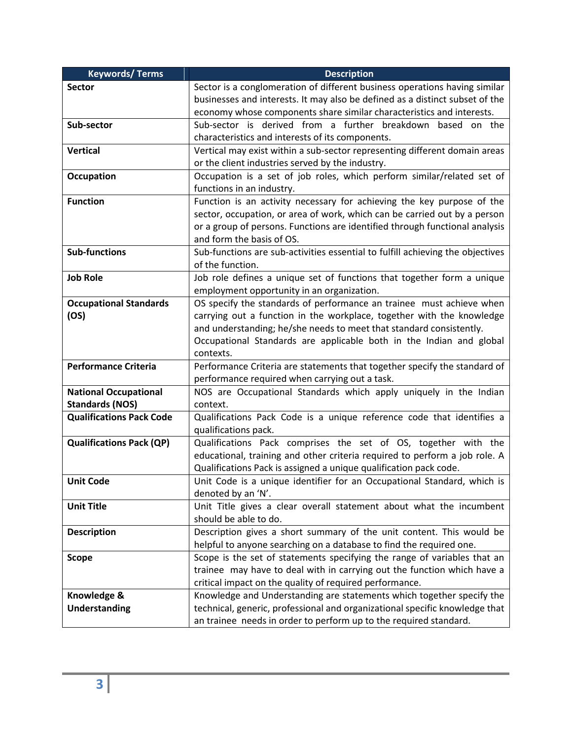| <b>Keywords/Terms</b>                                  | <b>Description</b>                                                             |  |
|--------------------------------------------------------|--------------------------------------------------------------------------------|--|
| <b>Sector</b>                                          | Sector is a conglomeration of different business operations having similar     |  |
|                                                        | businesses and interests. It may also be defined as a distinct subset of the   |  |
|                                                        | economy whose components share similar characteristics and interests.          |  |
| Sub-sector                                             | Sub-sector is derived from a further breakdown based on the                    |  |
|                                                        | characteristics and interests of its components.                               |  |
| <b>Vertical</b>                                        | Vertical may exist within a sub-sector representing different domain areas     |  |
|                                                        | or the client industries served by the industry.                               |  |
| <b>Occupation</b>                                      | Occupation is a set of job roles, which perform similar/related set of         |  |
|                                                        | functions in an industry.                                                      |  |
| <b>Function</b>                                        | Function is an activity necessary for achieving the key purpose of the         |  |
|                                                        | sector, occupation, or area of work, which can be carried out by a person      |  |
|                                                        | or a group of persons. Functions are identified through functional analysis    |  |
|                                                        | and form the basis of OS.                                                      |  |
| <b>Sub-functions</b>                                   | Sub-functions are sub-activities essential to fulfill achieving the objectives |  |
|                                                        | of the function.                                                               |  |
| <b>Job Role</b>                                        | Job role defines a unique set of functions that together form a unique         |  |
|                                                        | employment opportunity in an organization.                                     |  |
| <b>Occupational Standards</b>                          | OS specify the standards of performance an trainee must achieve when           |  |
| (OS)                                                   | carrying out a function in the workplace, together with the knowledge          |  |
|                                                        | and understanding; he/she needs to meet that standard consistently.            |  |
|                                                        | Occupational Standards are applicable both in the Indian and global            |  |
|                                                        | contexts.                                                                      |  |
| <b>Performance Criteria</b>                            | Performance Criteria are statements that together specify the standard of      |  |
|                                                        | performance required when carrying out a task.                                 |  |
| <b>National Occupational</b><br><b>Standards (NOS)</b> | NOS are Occupational Standards which apply uniquely in the Indian<br>context.  |  |
| <b>Qualifications Pack Code</b>                        | Qualifications Pack Code is a unique reference code that identifies a          |  |
|                                                        | qualifications pack.                                                           |  |
| <b>Qualifications Pack (QP)</b>                        | Qualifications Pack comprises the set of OS, together with the                 |  |
|                                                        | educational, training and other criteria required to perform a job role. A     |  |
|                                                        | Qualifications Pack is assigned a unique qualification pack code.              |  |
| <b>Unit Code</b>                                       | Unit Code is a unique identifier for an Occupational Standard, which is        |  |
|                                                        | denoted by an 'N'.                                                             |  |
| <b>Unit Title</b>                                      | Unit Title gives a clear overall statement about what the incumbent            |  |
|                                                        | should be able to do.                                                          |  |
| <b>Description</b>                                     | Description gives a short summary of the unit content. This would be           |  |
|                                                        | helpful to anyone searching on a database to find the required one.            |  |
| <b>Scope</b>                                           | Scope is the set of statements specifying the range of variables that an       |  |
|                                                        | trainee may have to deal with in carrying out the function which have a        |  |
|                                                        | critical impact on the quality of required performance.                        |  |
| Knowledge &                                            | Knowledge and Understanding are statements which together specify the          |  |
| Understanding                                          | technical, generic, professional and organizational specific knowledge that    |  |
|                                                        | an trainee needs in order to perform up to the required standard.              |  |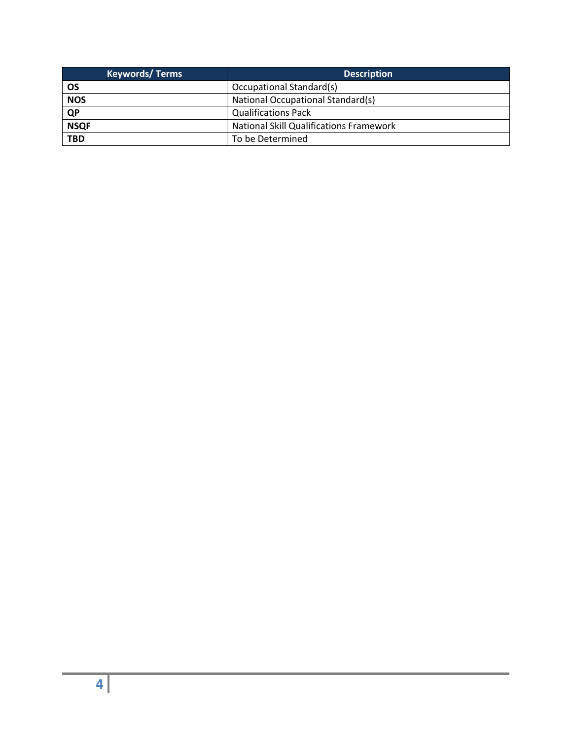| <b>Keywords/Terms</b> | <b>Description</b>                             |
|-----------------------|------------------------------------------------|
| OS                    | Occupational Standard(s)                       |
| <b>NOS</b>            | National Occupational Standard(s)              |
| <b>QP</b>             | <b>Qualifications Pack</b>                     |
| <b>NSQF</b>           | <b>National Skill Qualifications Framework</b> |
| <b>TBD</b>            | To be Determined                               |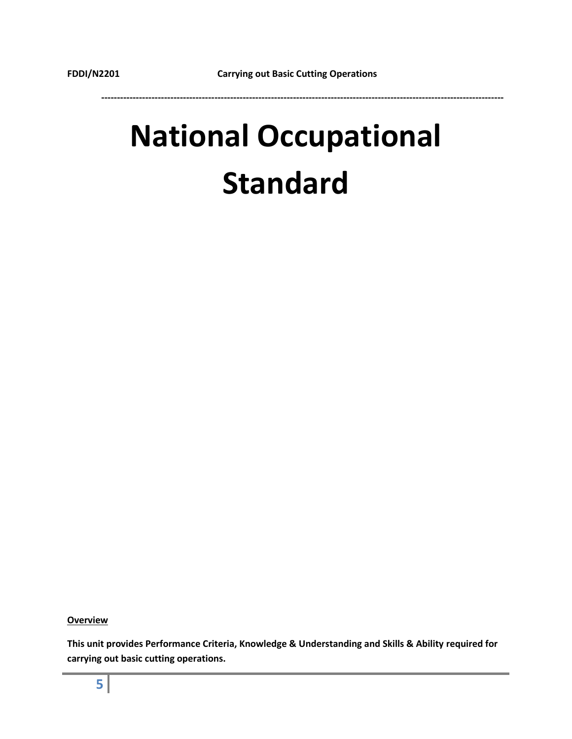## **National Occupational Standard**

**Overview**

**This unit provides Performance Criteria, Knowledge & Understanding and Skills & Ability required for carrying out basic cutting operations.**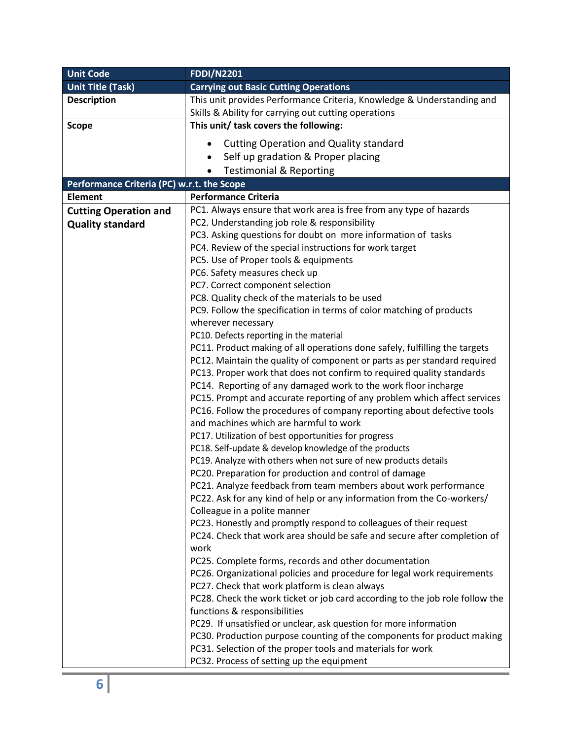| <b>Unit Title (Task)</b><br><b>Carrying out Basic Cutting Operations</b><br>This unit provides Performance Criteria, Knowledge & Understanding and<br><b>Description</b><br>Skills & Ability for carrying out cutting operations<br>This unit/ task covers the following:<br><b>Scope</b><br><b>Cutting Operation and Quality standard</b><br>Self up gradation & Proper placing<br><b>Testimonial &amp; Reporting</b><br>$\bullet$<br>Performance Criteria (PC) w.r.t. the Scope<br><b>Performance Criteria</b><br><b>Element</b><br>PC1. Always ensure that work area is free from any type of hazards<br><b>Cutting Operation and</b><br>PC2. Understanding job role & responsibility<br><b>Quality standard</b><br>PC3. Asking questions for doubt on more information of tasks<br>PC4. Review of the special instructions for work target<br>PC5. Use of Proper tools & equipments<br>PC6. Safety measures check up<br>PC7. Correct component selection<br>PC8. Quality check of the materials to be used<br>PC9. Follow the specification in terms of color matching of products<br>wherever necessary<br>PC10. Defects reporting in the material<br>PC11. Product making of all operations done safely, fulfilling the targets<br>PC12. Maintain the quality of component or parts as per standard required<br>PC13. Proper work that does not confirm to required quality standards<br>PC14. Reporting of any damaged work to the work floor incharge<br>PC15. Prompt and accurate reporting of any problem which affect services<br>PC16. Follow the procedures of company reporting about defective tools<br>and machines which are harmful to work<br>PC17. Utilization of best opportunities for progress<br>PC18. Self-update & develop knowledge of the products<br>PC19. Analyze with others when not sure of new products details |
|---------------------------------------------------------------------------------------------------------------------------------------------------------------------------------------------------------------------------------------------------------------------------------------------------------------------------------------------------------------------------------------------------------------------------------------------------------------------------------------------------------------------------------------------------------------------------------------------------------------------------------------------------------------------------------------------------------------------------------------------------------------------------------------------------------------------------------------------------------------------------------------------------------------------------------------------------------------------------------------------------------------------------------------------------------------------------------------------------------------------------------------------------------------------------------------------------------------------------------------------------------------------------------------------------------------------------------------------------------------------------------------------------------------------------------------------------------------------------------------------------------------------------------------------------------------------------------------------------------------------------------------------------------------------------------------------------------------------------------------------------------------------------------------------------------------------------------------------------|
|                                                                                                                                                                                                                                                                                                                                                                                                                                                                                                                                                                                                                                                                                                                                                                                                                                                                                                                                                                                                                                                                                                                                                                                                                                                                                                                                                                                                                                                                                                                                                                                                                                                                                                                                                                                                                                                   |
|                                                                                                                                                                                                                                                                                                                                                                                                                                                                                                                                                                                                                                                                                                                                                                                                                                                                                                                                                                                                                                                                                                                                                                                                                                                                                                                                                                                                                                                                                                                                                                                                                                                                                                                                                                                                                                                   |
|                                                                                                                                                                                                                                                                                                                                                                                                                                                                                                                                                                                                                                                                                                                                                                                                                                                                                                                                                                                                                                                                                                                                                                                                                                                                                                                                                                                                                                                                                                                                                                                                                                                                                                                                                                                                                                                   |
|                                                                                                                                                                                                                                                                                                                                                                                                                                                                                                                                                                                                                                                                                                                                                                                                                                                                                                                                                                                                                                                                                                                                                                                                                                                                                                                                                                                                                                                                                                                                                                                                                                                                                                                                                                                                                                                   |
|                                                                                                                                                                                                                                                                                                                                                                                                                                                                                                                                                                                                                                                                                                                                                                                                                                                                                                                                                                                                                                                                                                                                                                                                                                                                                                                                                                                                                                                                                                                                                                                                                                                                                                                                                                                                                                                   |
|                                                                                                                                                                                                                                                                                                                                                                                                                                                                                                                                                                                                                                                                                                                                                                                                                                                                                                                                                                                                                                                                                                                                                                                                                                                                                                                                                                                                                                                                                                                                                                                                                                                                                                                                                                                                                                                   |
|                                                                                                                                                                                                                                                                                                                                                                                                                                                                                                                                                                                                                                                                                                                                                                                                                                                                                                                                                                                                                                                                                                                                                                                                                                                                                                                                                                                                                                                                                                                                                                                                                                                                                                                                                                                                                                                   |
|                                                                                                                                                                                                                                                                                                                                                                                                                                                                                                                                                                                                                                                                                                                                                                                                                                                                                                                                                                                                                                                                                                                                                                                                                                                                                                                                                                                                                                                                                                                                                                                                                                                                                                                                                                                                                                                   |
|                                                                                                                                                                                                                                                                                                                                                                                                                                                                                                                                                                                                                                                                                                                                                                                                                                                                                                                                                                                                                                                                                                                                                                                                                                                                                                                                                                                                                                                                                                                                                                                                                                                                                                                                                                                                                                                   |
|                                                                                                                                                                                                                                                                                                                                                                                                                                                                                                                                                                                                                                                                                                                                                                                                                                                                                                                                                                                                                                                                                                                                                                                                                                                                                                                                                                                                                                                                                                                                                                                                                                                                                                                                                                                                                                                   |
|                                                                                                                                                                                                                                                                                                                                                                                                                                                                                                                                                                                                                                                                                                                                                                                                                                                                                                                                                                                                                                                                                                                                                                                                                                                                                                                                                                                                                                                                                                                                                                                                                                                                                                                                                                                                                                                   |
|                                                                                                                                                                                                                                                                                                                                                                                                                                                                                                                                                                                                                                                                                                                                                                                                                                                                                                                                                                                                                                                                                                                                                                                                                                                                                                                                                                                                                                                                                                                                                                                                                                                                                                                                                                                                                                                   |
|                                                                                                                                                                                                                                                                                                                                                                                                                                                                                                                                                                                                                                                                                                                                                                                                                                                                                                                                                                                                                                                                                                                                                                                                                                                                                                                                                                                                                                                                                                                                                                                                                                                                                                                                                                                                                                                   |
|                                                                                                                                                                                                                                                                                                                                                                                                                                                                                                                                                                                                                                                                                                                                                                                                                                                                                                                                                                                                                                                                                                                                                                                                                                                                                                                                                                                                                                                                                                                                                                                                                                                                                                                                                                                                                                                   |
|                                                                                                                                                                                                                                                                                                                                                                                                                                                                                                                                                                                                                                                                                                                                                                                                                                                                                                                                                                                                                                                                                                                                                                                                                                                                                                                                                                                                                                                                                                                                                                                                                                                                                                                                                                                                                                                   |
|                                                                                                                                                                                                                                                                                                                                                                                                                                                                                                                                                                                                                                                                                                                                                                                                                                                                                                                                                                                                                                                                                                                                                                                                                                                                                                                                                                                                                                                                                                                                                                                                                                                                                                                                                                                                                                                   |
|                                                                                                                                                                                                                                                                                                                                                                                                                                                                                                                                                                                                                                                                                                                                                                                                                                                                                                                                                                                                                                                                                                                                                                                                                                                                                                                                                                                                                                                                                                                                                                                                                                                                                                                                                                                                                                                   |
|                                                                                                                                                                                                                                                                                                                                                                                                                                                                                                                                                                                                                                                                                                                                                                                                                                                                                                                                                                                                                                                                                                                                                                                                                                                                                                                                                                                                                                                                                                                                                                                                                                                                                                                                                                                                                                                   |
|                                                                                                                                                                                                                                                                                                                                                                                                                                                                                                                                                                                                                                                                                                                                                                                                                                                                                                                                                                                                                                                                                                                                                                                                                                                                                                                                                                                                                                                                                                                                                                                                                                                                                                                                                                                                                                                   |
|                                                                                                                                                                                                                                                                                                                                                                                                                                                                                                                                                                                                                                                                                                                                                                                                                                                                                                                                                                                                                                                                                                                                                                                                                                                                                                                                                                                                                                                                                                                                                                                                                                                                                                                                                                                                                                                   |
|                                                                                                                                                                                                                                                                                                                                                                                                                                                                                                                                                                                                                                                                                                                                                                                                                                                                                                                                                                                                                                                                                                                                                                                                                                                                                                                                                                                                                                                                                                                                                                                                                                                                                                                                                                                                                                                   |
|                                                                                                                                                                                                                                                                                                                                                                                                                                                                                                                                                                                                                                                                                                                                                                                                                                                                                                                                                                                                                                                                                                                                                                                                                                                                                                                                                                                                                                                                                                                                                                                                                                                                                                                                                                                                                                                   |
|                                                                                                                                                                                                                                                                                                                                                                                                                                                                                                                                                                                                                                                                                                                                                                                                                                                                                                                                                                                                                                                                                                                                                                                                                                                                                                                                                                                                                                                                                                                                                                                                                                                                                                                                                                                                                                                   |
|                                                                                                                                                                                                                                                                                                                                                                                                                                                                                                                                                                                                                                                                                                                                                                                                                                                                                                                                                                                                                                                                                                                                                                                                                                                                                                                                                                                                                                                                                                                                                                                                                                                                                                                                                                                                                                                   |
|                                                                                                                                                                                                                                                                                                                                                                                                                                                                                                                                                                                                                                                                                                                                                                                                                                                                                                                                                                                                                                                                                                                                                                                                                                                                                                                                                                                                                                                                                                                                                                                                                                                                                                                                                                                                                                                   |
|                                                                                                                                                                                                                                                                                                                                                                                                                                                                                                                                                                                                                                                                                                                                                                                                                                                                                                                                                                                                                                                                                                                                                                                                                                                                                                                                                                                                                                                                                                                                                                                                                                                                                                                                                                                                                                                   |
|                                                                                                                                                                                                                                                                                                                                                                                                                                                                                                                                                                                                                                                                                                                                                                                                                                                                                                                                                                                                                                                                                                                                                                                                                                                                                                                                                                                                                                                                                                                                                                                                                                                                                                                                                                                                                                                   |
|                                                                                                                                                                                                                                                                                                                                                                                                                                                                                                                                                                                                                                                                                                                                                                                                                                                                                                                                                                                                                                                                                                                                                                                                                                                                                                                                                                                                                                                                                                                                                                                                                                                                                                                                                                                                                                                   |
|                                                                                                                                                                                                                                                                                                                                                                                                                                                                                                                                                                                                                                                                                                                                                                                                                                                                                                                                                                                                                                                                                                                                                                                                                                                                                                                                                                                                                                                                                                                                                                                                                                                                                                                                                                                                                                                   |
| PC20. Preparation for production and control of damage                                                                                                                                                                                                                                                                                                                                                                                                                                                                                                                                                                                                                                                                                                                                                                                                                                                                                                                                                                                                                                                                                                                                                                                                                                                                                                                                                                                                                                                                                                                                                                                                                                                                                                                                                                                            |
| PC21. Analyze feedback from team members about work performance                                                                                                                                                                                                                                                                                                                                                                                                                                                                                                                                                                                                                                                                                                                                                                                                                                                                                                                                                                                                                                                                                                                                                                                                                                                                                                                                                                                                                                                                                                                                                                                                                                                                                                                                                                                   |
| PC22. Ask for any kind of help or any information from the Co-workers/                                                                                                                                                                                                                                                                                                                                                                                                                                                                                                                                                                                                                                                                                                                                                                                                                                                                                                                                                                                                                                                                                                                                                                                                                                                                                                                                                                                                                                                                                                                                                                                                                                                                                                                                                                            |
| Colleague in a polite manner                                                                                                                                                                                                                                                                                                                                                                                                                                                                                                                                                                                                                                                                                                                                                                                                                                                                                                                                                                                                                                                                                                                                                                                                                                                                                                                                                                                                                                                                                                                                                                                                                                                                                                                                                                                                                      |
| PC23. Honestly and promptly respond to colleagues of their request                                                                                                                                                                                                                                                                                                                                                                                                                                                                                                                                                                                                                                                                                                                                                                                                                                                                                                                                                                                                                                                                                                                                                                                                                                                                                                                                                                                                                                                                                                                                                                                                                                                                                                                                                                                |
| PC24. Check that work area should be safe and secure after completion of                                                                                                                                                                                                                                                                                                                                                                                                                                                                                                                                                                                                                                                                                                                                                                                                                                                                                                                                                                                                                                                                                                                                                                                                                                                                                                                                                                                                                                                                                                                                                                                                                                                                                                                                                                          |
| work                                                                                                                                                                                                                                                                                                                                                                                                                                                                                                                                                                                                                                                                                                                                                                                                                                                                                                                                                                                                                                                                                                                                                                                                                                                                                                                                                                                                                                                                                                                                                                                                                                                                                                                                                                                                                                              |
| PC25. Complete forms, records and other documentation                                                                                                                                                                                                                                                                                                                                                                                                                                                                                                                                                                                                                                                                                                                                                                                                                                                                                                                                                                                                                                                                                                                                                                                                                                                                                                                                                                                                                                                                                                                                                                                                                                                                                                                                                                                             |
| PC26. Organizational policies and procedure for legal work requirements                                                                                                                                                                                                                                                                                                                                                                                                                                                                                                                                                                                                                                                                                                                                                                                                                                                                                                                                                                                                                                                                                                                                                                                                                                                                                                                                                                                                                                                                                                                                                                                                                                                                                                                                                                           |
| PC27. Check that work platform is clean always                                                                                                                                                                                                                                                                                                                                                                                                                                                                                                                                                                                                                                                                                                                                                                                                                                                                                                                                                                                                                                                                                                                                                                                                                                                                                                                                                                                                                                                                                                                                                                                                                                                                                                                                                                                                    |
| PC28. Check the work ticket or job card according to the job role follow the                                                                                                                                                                                                                                                                                                                                                                                                                                                                                                                                                                                                                                                                                                                                                                                                                                                                                                                                                                                                                                                                                                                                                                                                                                                                                                                                                                                                                                                                                                                                                                                                                                                                                                                                                                      |
| functions & responsibilities                                                                                                                                                                                                                                                                                                                                                                                                                                                                                                                                                                                                                                                                                                                                                                                                                                                                                                                                                                                                                                                                                                                                                                                                                                                                                                                                                                                                                                                                                                                                                                                                                                                                                                                                                                                                                      |
| PC29. If unsatisfied or unclear, ask question for more information                                                                                                                                                                                                                                                                                                                                                                                                                                                                                                                                                                                                                                                                                                                                                                                                                                                                                                                                                                                                                                                                                                                                                                                                                                                                                                                                                                                                                                                                                                                                                                                                                                                                                                                                                                                |
| PC30. Production purpose counting of the components for product making                                                                                                                                                                                                                                                                                                                                                                                                                                                                                                                                                                                                                                                                                                                                                                                                                                                                                                                                                                                                                                                                                                                                                                                                                                                                                                                                                                                                                                                                                                                                                                                                                                                                                                                                                                            |
| PC31. Selection of the proper tools and materials for work                                                                                                                                                                                                                                                                                                                                                                                                                                                                                                                                                                                                                                                                                                                                                                                                                                                                                                                                                                                                                                                                                                                                                                                                                                                                                                                                                                                                                                                                                                                                                                                                                                                                                                                                                                                        |
| PC32. Process of setting up the equipment                                                                                                                                                                                                                                                                                                                                                                                                                                                                                                                                                                                                                                                                                                                                                                                                                                                                                                                                                                                                                                                                                                                                                                                                                                                                                                                                                                                                                                                                                                                                                                                                                                                                                                                                                                                                         |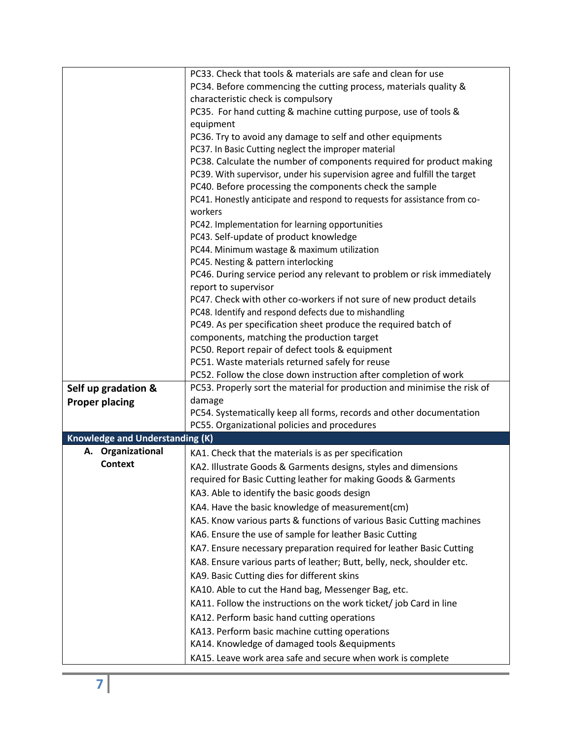|                                        | PC33. Check that tools & materials are safe and clean for use                                                |
|----------------------------------------|--------------------------------------------------------------------------------------------------------------|
|                                        | PC34. Before commencing the cutting process, materials quality &                                             |
|                                        | characteristic check is compulsory                                                                           |
|                                        | PC35. For hand cutting & machine cutting purpose, use of tools &                                             |
|                                        | equipment                                                                                                    |
|                                        | PC36. Try to avoid any damage to self and other equipments                                                   |
|                                        | PC37. In Basic Cutting neglect the improper material                                                         |
|                                        | PC38. Calculate the number of components required for product making                                         |
|                                        | PC39. With supervisor, under his supervision agree and fulfill the target                                    |
|                                        | PC40. Before processing the components check the sample                                                      |
|                                        | PC41. Honestly anticipate and respond to requests for assistance from co-                                    |
|                                        | workers                                                                                                      |
|                                        | PC42. Implementation for learning opportunities                                                              |
|                                        | PC43. Self-update of product knowledge                                                                       |
|                                        | PC44. Minimum wastage & maximum utilization                                                                  |
|                                        | PC45. Nesting & pattern interlocking                                                                         |
|                                        | PC46. During service period any relevant to problem or risk immediately                                      |
|                                        | report to supervisor                                                                                         |
|                                        | PC47. Check with other co-workers if not sure of new product details                                         |
|                                        | PC48. Identify and respond defects due to mishandling                                                        |
|                                        | PC49. As per specification sheet produce the required batch of<br>components, matching the production target |
|                                        | PC50. Report repair of defect tools & equipment                                                              |
|                                        | PC51. Waste materials returned safely for reuse                                                              |
|                                        | PC52. Follow the close down instruction after completion of work                                             |
| Self up gradation &                    | PC53. Properly sort the material for production and minimise the risk of                                     |
| <b>Proper placing</b>                  | damage                                                                                                       |
|                                        | PC54. Systematically keep all forms, records and other documentation                                         |
|                                        | PC55. Organizational policies and procedures                                                                 |
| <b>Knowledge and Understanding (K)</b> |                                                                                                              |
| A. Organizational                      | KA1. Check that the materials is as per specification                                                        |
| <b>Context</b>                         | KA2. Illustrate Goods & Garments designs, styles and dimensions                                              |
|                                        | required for Basic Cutting leather for making Goods & Garments                                               |
|                                        | KA3. Able to identify the basic goods design                                                                 |
|                                        | KA4. Have the basic knowledge of measurement(cm)                                                             |
|                                        | KA5. Know various parts & functions of various Basic Cutting machines                                        |
|                                        | KA6. Ensure the use of sample for leather Basic Cutting                                                      |
|                                        | KA7. Ensure necessary preparation required for leather Basic Cutting                                         |
|                                        | KA8. Ensure various parts of leather; Butt, belly, neck, shoulder etc.                                       |
|                                        | KA9. Basic Cutting dies for different skins                                                                  |
|                                        | KA10. Able to cut the Hand bag, Messenger Bag, etc.                                                          |
|                                        | KA11. Follow the instructions on the work ticket/ job Card in line                                           |
|                                        |                                                                                                              |
|                                        | KA12. Perform basic hand cutting operations                                                                  |
|                                        | KA13. Perform basic machine cutting operations                                                               |
|                                        | KA14. Knowledge of damaged tools & equipments                                                                |
|                                        | KA15. Leave work area safe and secure when work is complete                                                  |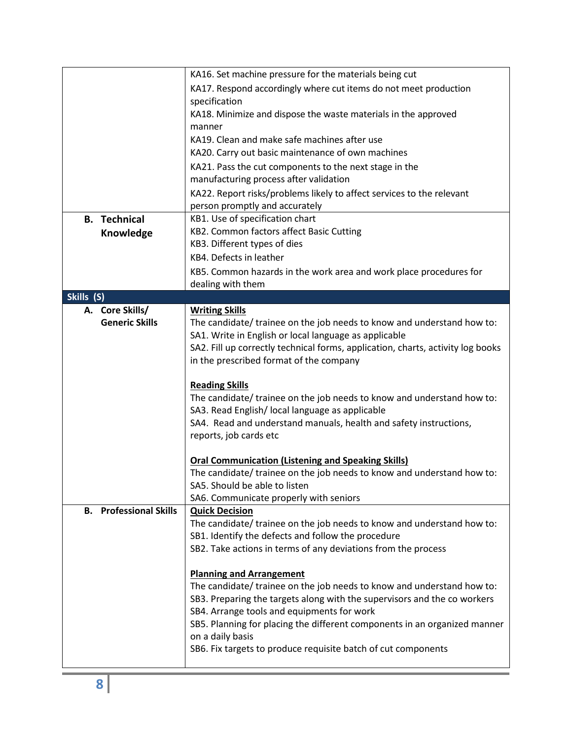|                                  | KA16. Set machine pressure for the materials being cut                          |  |
|----------------------------------|---------------------------------------------------------------------------------|--|
|                                  | KA17. Respond accordingly where cut items do not meet production                |  |
|                                  | specification                                                                   |  |
|                                  | KA18. Minimize and dispose the waste materials in the approved<br>manner        |  |
|                                  |                                                                                 |  |
|                                  | KA19. Clean and make safe machines after use                                    |  |
|                                  | KA20. Carry out basic maintenance of own machines                               |  |
|                                  | KA21. Pass the cut components to the next stage in the                          |  |
|                                  | manufacturing process after validation                                          |  |
|                                  | KA22. Report risks/problems likely to affect services to the relevant           |  |
|                                  | person promptly and accurately                                                  |  |
| <b>B.</b> Technical              | KB1. Use of specification chart                                                 |  |
| Knowledge                        | KB2. Common factors affect Basic Cutting                                        |  |
|                                  | KB3. Different types of dies                                                    |  |
|                                  | KB4. Defects in leather                                                         |  |
|                                  | KB5. Common hazards in the work area and work place procedures for              |  |
|                                  | dealing with them                                                               |  |
| Skills (S)                       |                                                                                 |  |
| A. Core Skills/                  | <b>Writing Skills</b>                                                           |  |
| <b>Generic Skills</b>            | The candidate/ trainee on the job needs to know and understand how to:          |  |
|                                  | SA1. Write in English or local language as applicable                           |  |
|                                  | SA2. Fill up correctly technical forms, application, charts, activity log books |  |
|                                  | in the prescribed format of the company                                         |  |
|                                  |                                                                                 |  |
|                                  | <b>Reading Skills</b>                                                           |  |
|                                  | The candidate/ trainee on the job needs to know and understand how to:          |  |
|                                  | SA3. Read English/ local language as applicable                                 |  |
|                                  | SA4. Read and understand manuals, health and safety instructions,               |  |
|                                  | reports, job cards etc                                                          |  |
|                                  |                                                                                 |  |
|                                  | <b>Oral Communication (Listening and Speaking Skills)</b>                       |  |
|                                  | The candidate/ trainee on the job needs to know and understand how to:          |  |
|                                  | SA5. Should be able to listen                                                   |  |
|                                  | SA6. Communicate properly with seniors                                          |  |
| <b>Professional Skills</b><br>В. | <b>Quick Decision</b>                                                           |  |
|                                  | The candidate/ trainee on the job needs to know and understand how to:          |  |
|                                  | SB1. Identify the defects and follow the procedure                              |  |
|                                  | SB2. Take actions in terms of any deviations from the process                   |  |
|                                  |                                                                                 |  |
|                                  | <b>Planning and Arrangement</b>                                                 |  |
|                                  | The candidate/ trainee on the job needs to know and understand how to:          |  |
|                                  | SB3. Preparing the targets along with the supervisors and the co workers        |  |
|                                  | SB4. Arrange tools and equipments for work                                      |  |
|                                  | SB5. Planning for placing the different components in an organized manner       |  |
|                                  | on a daily basis                                                                |  |
|                                  | SB6. Fix targets to produce requisite batch of cut components                   |  |
|                                  |                                                                                 |  |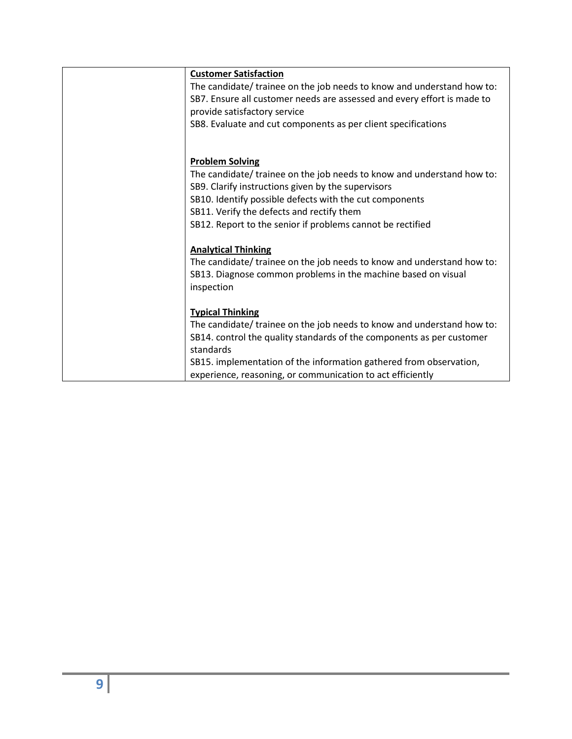| <b>Customer Satisfaction</b>                                            |
|-------------------------------------------------------------------------|
| The candidate/ trainee on the job needs to know and understand how to:  |
| SB7. Ensure all customer needs are assessed and every effort is made to |
| provide satisfactory service                                            |
| SB8. Evaluate and cut components as per client specifications           |
|                                                                         |
|                                                                         |
| <b>Problem Solving</b>                                                  |
| The candidate/ trainee on the job needs to know and understand how to:  |
| SB9. Clarify instructions given by the supervisors                      |
| SB10. Identify possible defects with the cut components                 |
| SB11. Verify the defects and rectify them                               |
| SB12. Report to the senior if problems cannot be rectified              |
|                                                                         |
| <b>Analytical Thinking</b>                                              |
| The candidate/ trainee on the job needs to know and understand how to:  |
| SB13. Diagnose common problems in the machine based on visual           |
| inspection                                                              |
|                                                                         |
| <b>Typical Thinking</b>                                                 |
| The candidate/ trainee on the job needs to know and understand how to:  |
| SB14. control the quality standards of the components as per customer   |
| standards                                                               |
| SB15. implementation of the information gathered from observation,      |
| experience, reasoning, or communication to act efficiently              |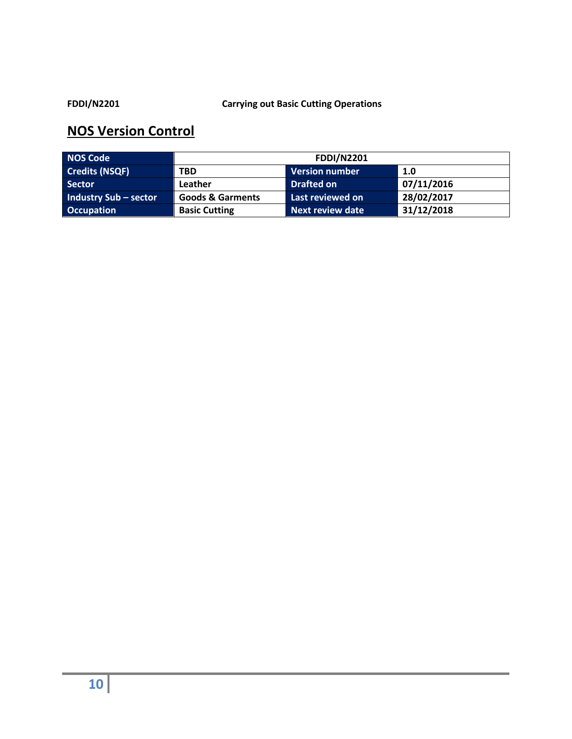#### **FDDI/N2201 Carrying out Basic Cutting Operations**

| <b>NOS Code</b>              | <b>FDDI/N2201</b>           |                         |            |
|------------------------------|-----------------------------|-------------------------|------------|
| <b>Credits (NSQF)</b>        | <b>TBD</b>                  | <b>Version number</b>   | 1.0        |
| <b>Sector</b>                | Leather                     | <b>Drafted on</b>       | 07/11/2016 |
| <b>Industry Sub - sector</b> | <b>Goods &amp; Garments</b> | Last reviewed on        | 28/02/2017 |
| <b>Occupation</b>            | <b>Basic Cutting</b>        | <b>Next review date</b> | 31/12/2018 |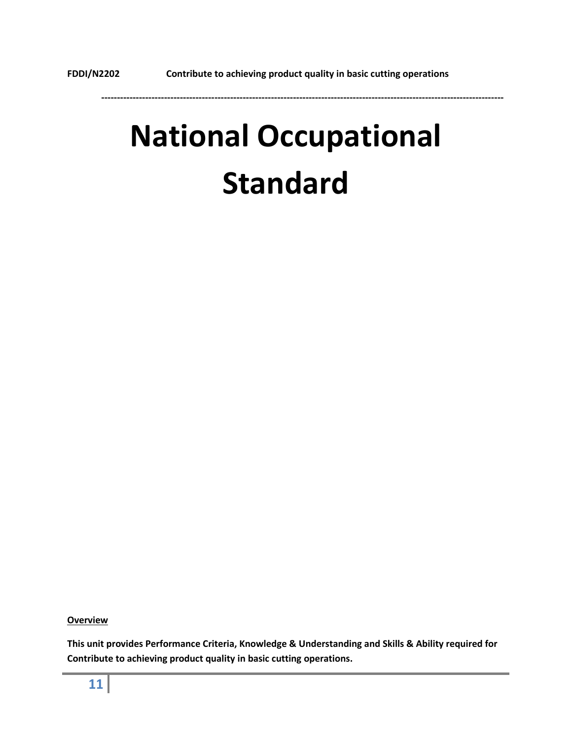# **National Occupational Standard**

**Overview**

**This unit provides Performance Criteria, Knowledge & Understanding and Skills & Ability required for Contribute to achieving product quality in basic cutting operations.**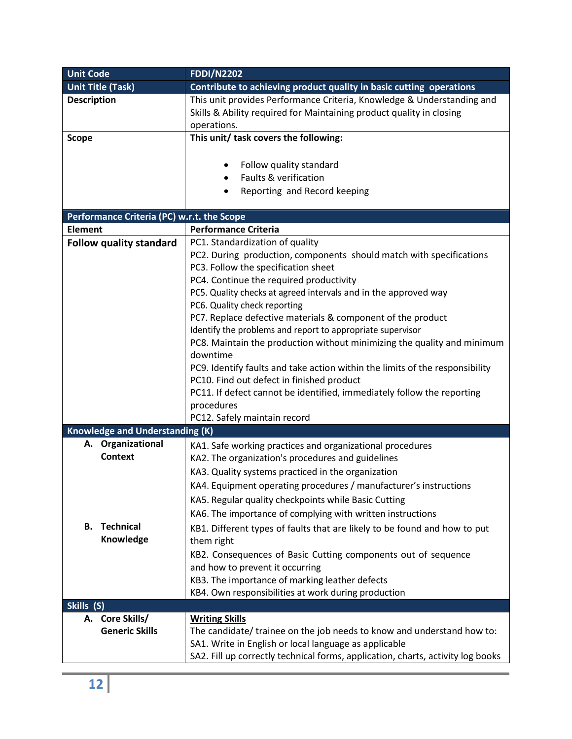| <b>Unit Code</b>                           | <b>FDDI/N2202</b>                                                               |  |
|--------------------------------------------|---------------------------------------------------------------------------------|--|
| <b>Unit Title (Task)</b>                   | Contribute to achieving product quality in basic cutting operations             |  |
| <b>Description</b>                         | This unit provides Performance Criteria, Knowledge & Understanding and          |  |
|                                            | Skills & Ability required for Maintaining product quality in closing            |  |
|                                            | operations.                                                                     |  |
| <b>Scope</b>                               | This unit/ task covers the following:                                           |  |
|                                            |                                                                                 |  |
|                                            | Follow quality standard                                                         |  |
|                                            | Faults & verification                                                           |  |
|                                            | Reporting and Record keeping                                                    |  |
|                                            |                                                                                 |  |
| Performance Criteria (PC) w.r.t. the Scope |                                                                                 |  |
| <b>Element</b>                             | <b>Performance Criteria</b>                                                     |  |
| <b>Follow quality standard</b>             | PC1. Standardization of quality                                                 |  |
|                                            | PC2. During production, components should match with specifications             |  |
|                                            | PC3. Follow the specification sheet                                             |  |
|                                            | PC4. Continue the required productivity                                         |  |
|                                            | PC5. Quality checks at agreed intervals and in the approved way                 |  |
|                                            | PC6. Quality check reporting                                                    |  |
|                                            | PC7. Replace defective materials & component of the product                     |  |
|                                            | Identify the problems and report to appropriate supervisor                      |  |
|                                            | PC8. Maintain the production without minimizing the quality and minimum         |  |
|                                            | downtime                                                                        |  |
|                                            | PC9. Identify faults and take action within the limits of the responsibility    |  |
|                                            | PC10. Find out defect in finished product                                       |  |
|                                            | PC11. If defect cannot be identified, immediately follow the reporting          |  |
|                                            | procedures                                                                      |  |
|                                            | PC12. Safely maintain record                                                    |  |
| <b>Knowledge and Understanding (K)</b>     |                                                                                 |  |
| Organizational<br>А.                       | KA1. Safe working practices and organizational procedures                       |  |
| <b>Context</b>                             | KA2. The organization's procedures and guidelines                               |  |
|                                            | KA3. Quality systems practiced in the organization                              |  |
|                                            | KA4. Equipment operating procedures / manufacturer's instructions               |  |
|                                            | KA5. Regular quality checkpoints while Basic Cutting                            |  |
|                                            | KA6. The importance of complying with written instructions                      |  |
| <b>Technical</b><br>В.                     | KB1. Different types of faults that are likely to be found and how to put       |  |
| Knowledge                                  | them right                                                                      |  |
|                                            | KB2. Consequences of Basic Cutting components out of sequence                   |  |
|                                            | and how to prevent it occurring                                                 |  |
|                                            | KB3. The importance of marking leather defects                                  |  |
|                                            | KB4. Own responsibilities at work during production                             |  |
| Skills (S)                                 |                                                                                 |  |
| A. Core Skills/                            | <b>Writing Skills</b>                                                           |  |
| <b>Generic Skills</b>                      | The candidate/ trainee on the job needs to know and understand how to:          |  |
|                                            | SA1. Write in English or local language as applicable                           |  |
|                                            | SA2. Fill up correctly technical forms, application, charts, activity log books |  |
|                                            |                                                                                 |  |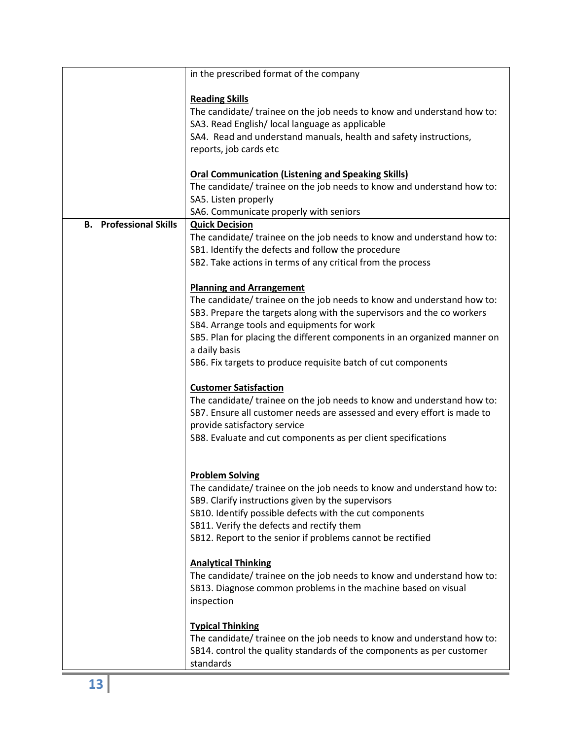|                                         | in the prescribed format of the company                                  |
|-----------------------------------------|--------------------------------------------------------------------------|
|                                         |                                                                          |
|                                         | <b>Reading Skills</b>                                                    |
|                                         | The candidate/ trainee on the job needs to know and understand how to:   |
|                                         | SA3. Read English/ local language as applicable                          |
|                                         | SA4. Read and understand manuals, health and safety instructions,        |
|                                         | reports, job cards etc                                                   |
|                                         |                                                                          |
|                                         | <b>Oral Communication (Listening and Speaking Skills)</b>                |
|                                         | The candidate/ trainee on the job needs to know and understand how to:   |
|                                         | SA5. Listen properly                                                     |
|                                         | SA6. Communicate properly with seniors                                   |
| <b>Professional Skills</b><br><b>B.</b> | <b>Quick Decision</b>                                                    |
|                                         | The candidate/ trainee on the job needs to know and understand how to:   |
|                                         | SB1. Identify the defects and follow the procedure                       |
|                                         | SB2. Take actions in terms of any critical from the process              |
|                                         |                                                                          |
|                                         | <b>Planning and Arrangement</b>                                          |
|                                         | The candidate/ trainee on the job needs to know and understand how to:   |
|                                         | SB3. Prepare the targets along with the supervisors and the co workers   |
|                                         | SB4. Arrange tools and equipments for work                               |
|                                         | SB5. Plan for placing the different components in an organized manner on |
|                                         | a daily basis                                                            |
|                                         | SB6. Fix targets to produce requisite batch of cut components            |
|                                         |                                                                          |
|                                         | <b>Customer Satisfaction</b>                                             |
|                                         | The candidate/ trainee on the job needs to know and understand how to:   |
|                                         | SB7. Ensure all customer needs are assessed and every effort is made to  |
|                                         | provide satisfactory service                                             |
|                                         | SB8. Evaluate and cut components as per client specifications            |
|                                         |                                                                          |
|                                         |                                                                          |
|                                         | <b>Problem Solving</b>                                                   |
|                                         | The candidate/ trainee on the job needs to know and understand how to:   |
|                                         | SB9. Clarify instructions given by the supervisors                       |
|                                         | SB10. Identify possible defects with the cut components                  |
|                                         | SB11. Verify the defects and rectify them                                |
|                                         | SB12. Report to the senior if problems cannot be rectified               |
|                                         |                                                                          |
|                                         | <b>Analytical Thinking</b>                                               |
|                                         | The candidate/ trainee on the job needs to know and understand how to:   |
|                                         | SB13. Diagnose common problems in the machine based on visual            |
|                                         | inspection                                                               |
|                                         |                                                                          |
|                                         | <b>Typical Thinking</b>                                                  |
|                                         | The candidate/ trainee on the job needs to know and understand how to:   |
|                                         | SB14. control the quality standards of the components as per customer    |
|                                         | standards                                                                |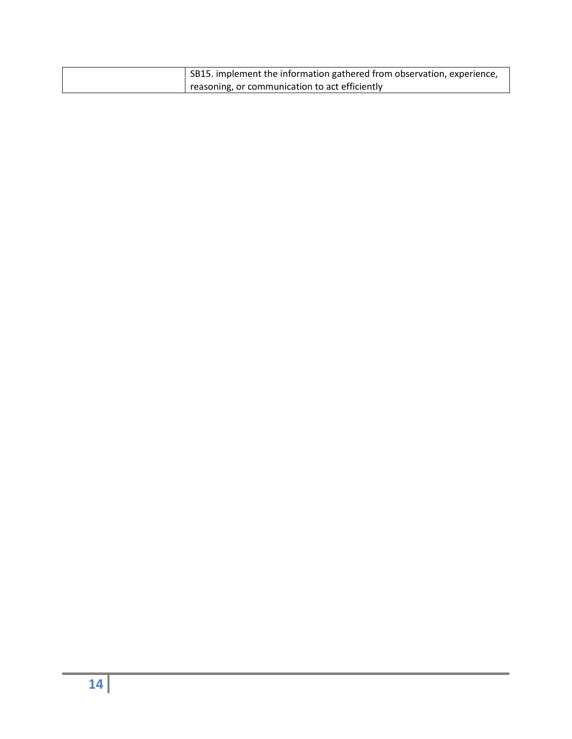| SB15. implement the information gathered from observation, experience, |
|------------------------------------------------------------------------|
| I reasoning, or communication to act efficiently                       |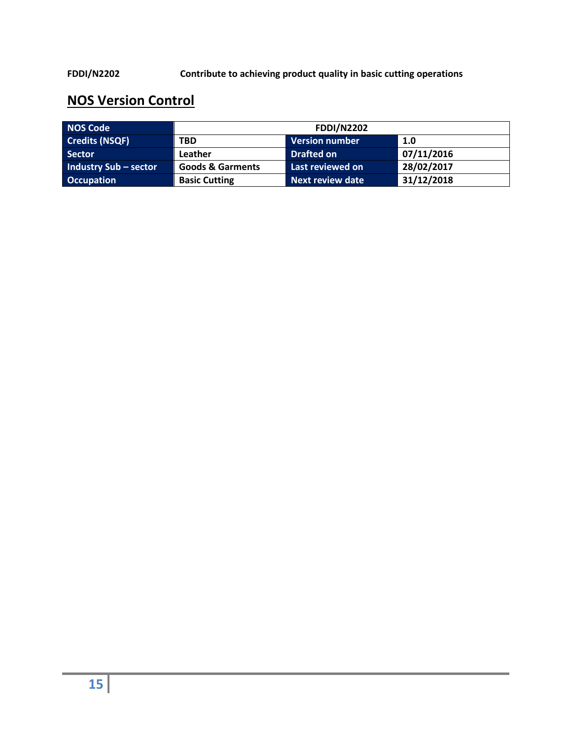**FDDI/N2202 Contribute to achieving product quality in basic cutting operations**

| <b>NOS Code</b>              | <b>FDDI/N2202</b>                                             |                       |            |  |
|------------------------------|---------------------------------------------------------------|-----------------------|------------|--|
| <b>Credits (NSQF)</b>        | <b>TBD</b>                                                    | <b>Version number</b> | 1.0        |  |
| <b>Sector</b>                | Leather                                                       | <b>Drafted on</b>     | 07/11/2016 |  |
| <b>Industry Sub - sector</b> | <b>Goods &amp; Garments</b>                                   | Last reviewed on      | 28/02/2017 |  |
| <b>Occupation</b>            | 31/12/2018<br><b>Next review date</b><br><b>Basic Cutting</b> |                       |            |  |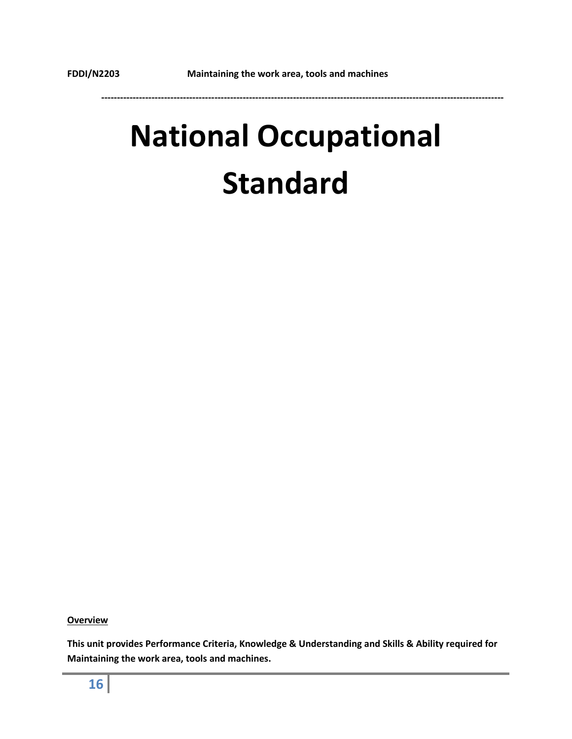# **National Occupational Standard**

**Overview**

**This unit provides Performance Criteria, Knowledge & Understanding and Skills & Ability required for Maintaining the work area, tools and machines.**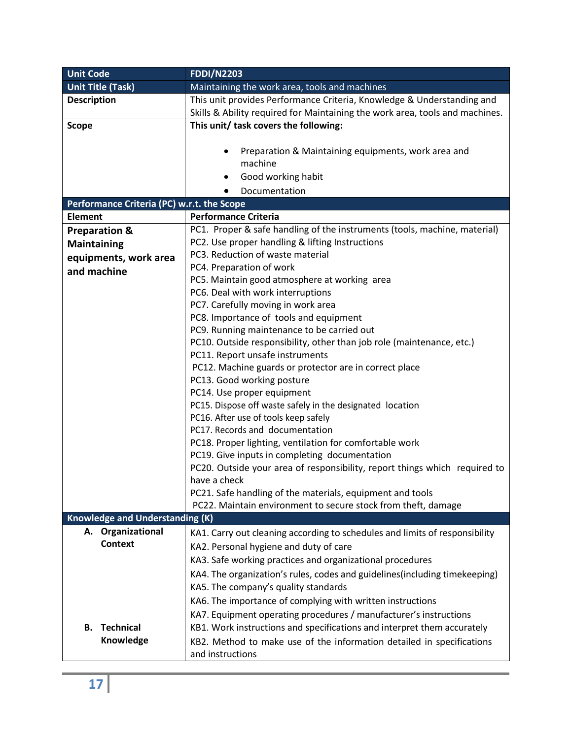| <b>Unit Code</b>                           | <b>FDDI/N2203</b>                                                            |  |  |
|--------------------------------------------|------------------------------------------------------------------------------|--|--|
| <b>Unit Title (Task)</b>                   | Maintaining the work area, tools and machines                                |  |  |
| <b>Description</b>                         | This unit provides Performance Criteria, Knowledge & Understanding and       |  |  |
|                                            | Skills & Ability required for Maintaining the work area, tools and machines. |  |  |
| <b>Scope</b>                               | This unit/ task covers the following:                                        |  |  |
|                                            |                                                                              |  |  |
|                                            | Preparation & Maintaining equipments, work area and<br>٠                     |  |  |
|                                            | machine                                                                      |  |  |
|                                            | Good working habit                                                           |  |  |
|                                            | Documentation                                                                |  |  |
| Performance Criteria (PC) w.r.t. the Scope |                                                                              |  |  |
| <b>Element</b>                             | <b>Performance Criteria</b>                                                  |  |  |
| <b>Preparation &amp;</b>                   | PC1. Proper & safe handling of the instruments (tools, machine, material)    |  |  |
| <b>Maintaining</b>                         | PC2. Use proper handling & lifting Instructions                              |  |  |
| equipments, work area                      | PC3. Reduction of waste material                                             |  |  |
| and machine                                | PC4. Preparation of work                                                     |  |  |
|                                            | PC5. Maintain good atmosphere at working area                                |  |  |
|                                            | PC6. Deal with work interruptions                                            |  |  |
|                                            | PC7. Carefully moving in work area                                           |  |  |
|                                            | PC8. Importance of tools and equipment                                       |  |  |
|                                            | PC9. Running maintenance to be carried out                                   |  |  |
|                                            | PC10. Outside responsibility, other than job role (maintenance, etc.)        |  |  |
|                                            | PC11. Report unsafe instruments                                              |  |  |
|                                            | PC12. Machine guards or protector are in correct place                       |  |  |
|                                            | PC13. Good working posture                                                   |  |  |
|                                            | PC14. Use proper equipment                                                   |  |  |
|                                            | PC15. Dispose off waste safely in the designated location                    |  |  |
|                                            | PC16. After use of tools keep safely                                         |  |  |
|                                            | PC17. Records and documentation                                              |  |  |
|                                            | PC18. Proper lighting, ventilation for comfortable work                      |  |  |
|                                            | PC19. Give inputs in completing documentation                                |  |  |
|                                            | PC20. Outside your area of responsibility, report things which required to   |  |  |
|                                            | have a check                                                                 |  |  |
|                                            | PC21. Safe handling of the materials, equipment and tools                    |  |  |
|                                            | PC22. Maintain environment to secure stock from theft, damage                |  |  |
| <b>Knowledge and Understanding (K)</b>     |                                                                              |  |  |
| A. Organizational                          | KA1. Carry out cleaning according to schedules and limits of responsibility  |  |  |
| <b>Context</b>                             | KA2. Personal hygiene and duty of care                                       |  |  |
|                                            | KA3. Safe working practices and organizational procedures                    |  |  |
|                                            | KA4. The organization's rules, codes and guidelines(including timekeeping)   |  |  |
|                                            | KA5. The company's quality standards                                         |  |  |
|                                            | KA6. The importance of complying with written instructions                   |  |  |
|                                            | KA7. Equipment operating procedures / manufacturer's instructions            |  |  |
| <b>Technical</b><br>В.                     | KB1. Work instructions and specifications and interpret them accurately      |  |  |
| Knowledge                                  | KB2. Method to make use of the information detailed in specifications        |  |  |
|                                            | and instructions                                                             |  |  |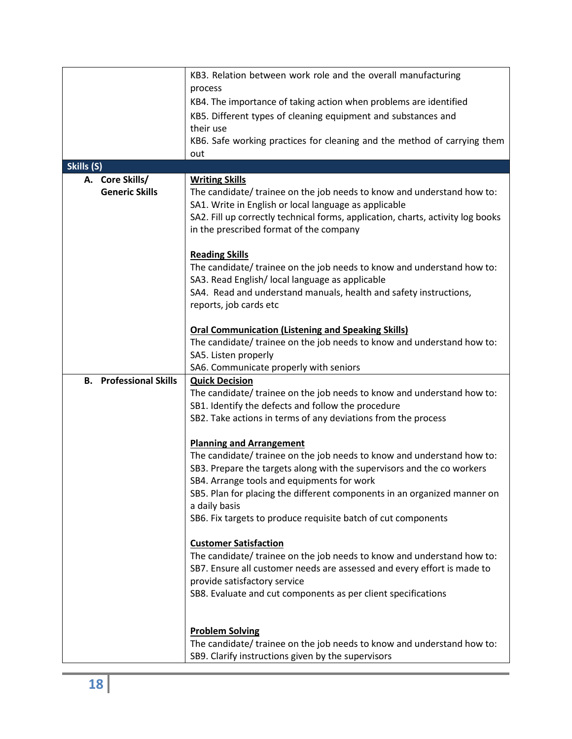|                               | KB3. Relation between work role and the overall manufacturing<br>process        |  |  |
|-------------------------------|---------------------------------------------------------------------------------|--|--|
|                               | KB4. The importance of taking action when problems are identified               |  |  |
|                               |                                                                                 |  |  |
|                               | KB5. Different types of cleaning equipment and substances and                   |  |  |
|                               | their use                                                                       |  |  |
|                               | KB6. Safe working practices for cleaning and the method of carrying them        |  |  |
|                               | out                                                                             |  |  |
| Skills (S)                    |                                                                                 |  |  |
| A. Core Skills/               | <b>Writing Skills</b>                                                           |  |  |
| <b>Generic Skills</b>         | The candidate/ trainee on the job needs to know and understand how to:          |  |  |
|                               | SA1. Write in English or local language as applicable                           |  |  |
|                               | SA2. Fill up correctly technical forms, application, charts, activity log books |  |  |
|                               | in the prescribed format of the company                                         |  |  |
|                               |                                                                                 |  |  |
|                               | <b>Reading Skills</b>                                                           |  |  |
|                               | The candidate/ trainee on the job needs to know and understand how to:          |  |  |
|                               | SA3. Read English/ local language as applicable                                 |  |  |
|                               | SA4. Read and understand manuals, health and safety instructions,               |  |  |
|                               | reports, job cards etc                                                          |  |  |
|                               |                                                                                 |  |  |
|                               | <b>Oral Communication (Listening and Speaking Skills)</b>                       |  |  |
|                               | The candidate/ trainee on the job needs to know and understand how to:          |  |  |
|                               | SA5. Listen properly                                                            |  |  |
|                               | SA6. Communicate properly with seniors                                          |  |  |
| <b>B.</b> Professional Skills | <b>Quick Decision</b>                                                           |  |  |
|                               | The candidate/ trainee on the job needs to know and understand how to:          |  |  |
|                               | SB1. Identify the defects and follow the procedure                              |  |  |
|                               | SB2. Take actions in terms of any deviations from the process                   |  |  |
|                               |                                                                                 |  |  |
|                               | <b>Planning and Arrangement</b>                                                 |  |  |
|                               | The candidate/ trainee on the job needs to know and understand how to:          |  |  |
|                               | SB3. Prepare the targets along with the supervisors and the co workers          |  |  |
|                               | SB4. Arrange tools and equipments for work                                      |  |  |
|                               | SB5. Plan for placing the different components in an organized manner on        |  |  |
|                               | a daily basis                                                                   |  |  |
|                               | SB6. Fix targets to produce requisite batch of cut components                   |  |  |
|                               |                                                                                 |  |  |
|                               | <b>Customer Satisfaction</b>                                                    |  |  |
|                               | The candidate/ trainee on the job needs to know and understand how to:          |  |  |
|                               | SB7. Ensure all customer needs are assessed and every effort is made to         |  |  |
|                               | provide satisfactory service                                                    |  |  |
|                               | SB8. Evaluate and cut components as per client specifications                   |  |  |
|                               |                                                                                 |  |  |
|                               |                                                                                 |  |  |
|                               | <b>Problem Solving</b>                                                          |  |  |
|                               |                                                                                 |  |  |
|                               | The candidate/ trainee on the job needs to know and understand how to:          |  |  |
|                               | SB9. Clarify instructions given by the supervisors                              |  |  |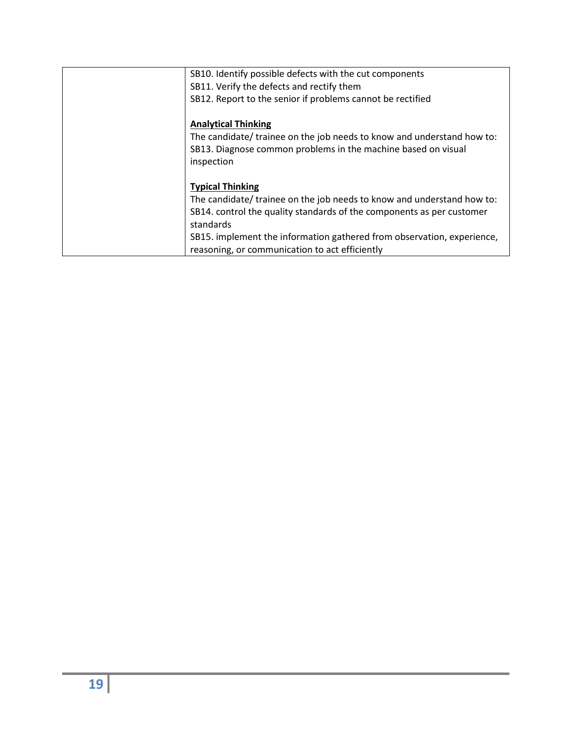| SB10. Identify possible defects with the cut components<br>SB11. Verify the defects and rectify them                                                                                                                                                                                                                |
|---------------------------------------------------------------------------------------------------------------------------------------------------------------------------------------------------------------------------------------------------------------------------------------------------------------------|
| SB12. Report to the senior if problems cannot be rectified                                                                                                                                                                                                                                                          |
| <b>Analytical Thinking</b><br>The candidate/ trainee on the job needs to know and understand how to:<br>SB13. Diagnose common problems in the machine based on visual<br>inspection                                                                                                                                 |
| <b>Typical Thinking</b><br>The candidate/ trainee on the job needs to know and understand how to:<br>SB14. control the quality standards of the components as per customer<br>standards<br>SB15. implement the information gathered from observation, experience,<br>reasoning, or communication to act efficiently |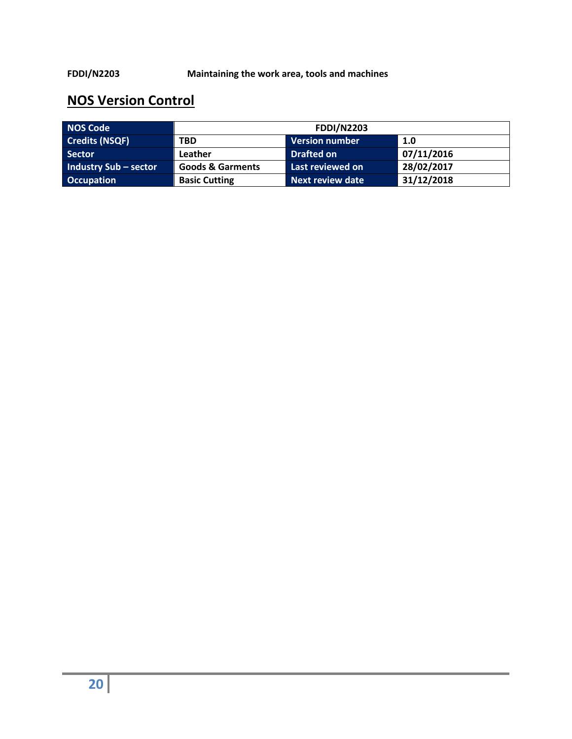| <b>NOS Code</b>              | <b>FDDI/N2203</b>                                             |                       |            |  |
|------------------------------|---------------------------------------------------------------|-----------------------|------------|--|
| <b>Credits (NSQF)</b>        | <b>TBD</b>                                                    | <b>Version number</b> | 1.0        |  |
| <b>Sector</b>                | Leather                                                       | <b>Drafted on</b>     | 07/11/2016 |  |
| <b>Industry Sub - sector</b> | <b>Goods &amp; Garments</b>                                   | Last reviewed on      | 28/02/2017 |  |
| <b>Occupation</b>            | 31/12/2018<br><b>Basic Cutting</b><br><b>Next review date</b> |                       |            |  |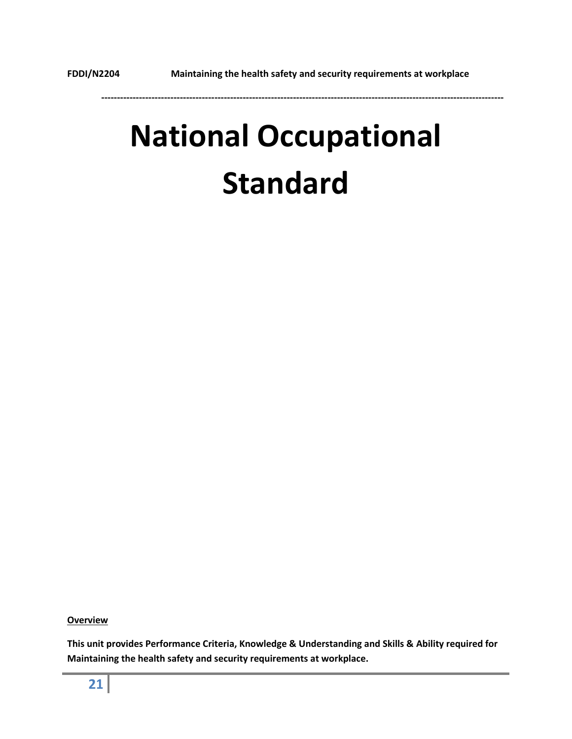# **National Occupational Standard**

**Overview**

**This unit provides Performance Criteria, Knowledge & Understanding and Skills & Ability required for Maintaining the health safety and security requirements at workplace.**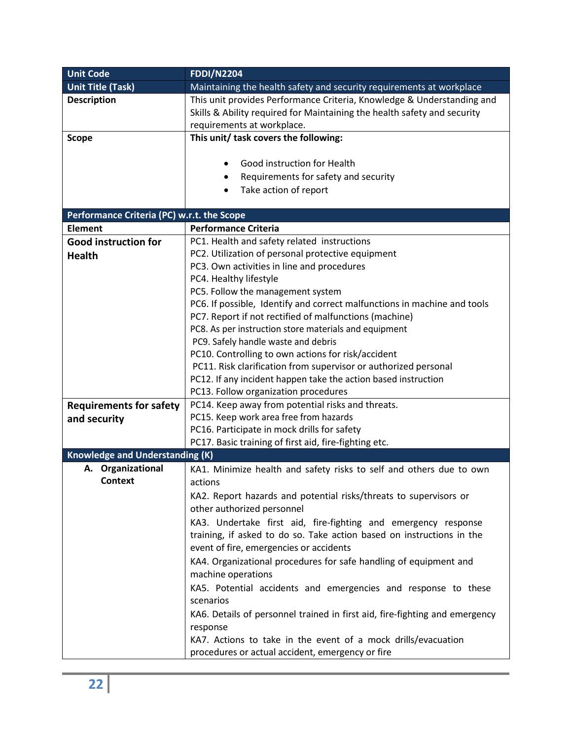| <b>Unit Code</b>                           | <b>FDDI/N2204</b>                                                                           |  |  |
|--------------------------------------------|---------------------------------------------------------------------------------------------|--|--|
| <b>Unit Title (Task)</b>                   | Maintaining the health safety and security requirements at workplace                        |  |  |
| <b>Description</b>                         | This unit provides Performance Criteria, Knowledge & Understanding and                      |  |  |
|                                            | Skills & Ability required for Maintaining the health safety and security                    |  |  |
|                                            | requirements at workplace.                                                                  |  |  |
| <b>Scope</b>                               | This unit/ task covers the following:                                                       |  |  |
|                                            |                                                                                             |  |  |
|                                            | Good instruction for Health                                                                 |  |  |
|                                            | Requirements for safety and security<br>٠                                                   |  |  |
|                                            | Take action of report                                                                       |  |  |
|                                            |                                                                                             |  |  |
| Performance Criteria (PC) w.r.t. the Scope |                                                                                             |  |  |
| <b>Element</b>                             | <b>Performance Criteria</b>                                                                 |  |  |
| <b>Good instruction for</b>                | PC1. Health and safety related instructions                                                 |  |  |
| <b>Health</b>                              | PC2. Utilization of personal protective equipment                                           |  |  |
|                                            | PC3. Own activities in line and procedures                                                  |  |  |
|                                            | PC4. Healthy lifestyle                                                                      |  |  |
|                                            | PC5. Follow the management system                                                           |  |  |
|                                            | PC6. If possible, Identify and correct malfunctions in machine and tools                    |  |  |
|                                            | PC7. Report if not rectified of malfunctions (machine)                                      |  |  |
|                                            | PC8. As per instruction store materials and equipment                                       |  |  |
|                                            | PC9. Safely handle waste and debris                                                         |  |  |
|                                            | PC10. Controlling to own actions for risk/accident                                          |  |  |
|                                            | PC11. Risk clarification from supervisor or authorized personal                             |  |  |
|                                            | PC12. If any incident happen take the action based instruction                              |  |  |
|                                            | PC13. Follow organization procedures                                                        |  |  |
| <b>Requirements for safety</b>             | PC14. Keep away from potential risks and threats.<br>PC15. Keep work area free from hazards |  |  |
| and security                               | PC16. Participate in mock drills for safety                                                 |  |  |
|                                            | PC17. Basic training of first aid, fire-fighting etc.                                       |  |  |
| <b>Knowledge and Understanding (K)</b>     |                                                                                             |  |  |
| A. Organizational                          | KA1. Minimize health and safety risks to self and others due to own                         |  |  |
| <b>Context</b>                             | actions                                                                                     |  |  |
|                                            | KA2. Report hazards and potential risks/threats to supervisors or                           |  |  |
|                                            | other authorized personnel                                                                  |  |  |
|                                            | KA3. Undertake first aid, fire-fighting and emergency response                              |  |  |
|                                            | training, if asked to do so. Take action based on instructions in the                       |  |  |
|                                            | event of fire, emergencies or accidents                                                     |  |  |
|                                            | KA4. Organizational procedures for safe handling of equipment and                           |  |  |
|                                            | machine operations                                                                          |  |  |
|                                            | KA5. Potential accidents and emergencies and response to these                              |  |  |
|                                            | scenarios                                                                                   |  |  |
|                                            |                                                                                             |  |  |
|                                            | KA6. Details of personnel trained in first aid, fire-fighting and emergency                 |  |  |
|                                            | response<br>KA7. Actions to take in the event of a mock drills/evacuation                   |  |  |
|                                            |                                                                                             |  |  |
|                                            | procedures or actual accident, emergency or fire                                            |  |  |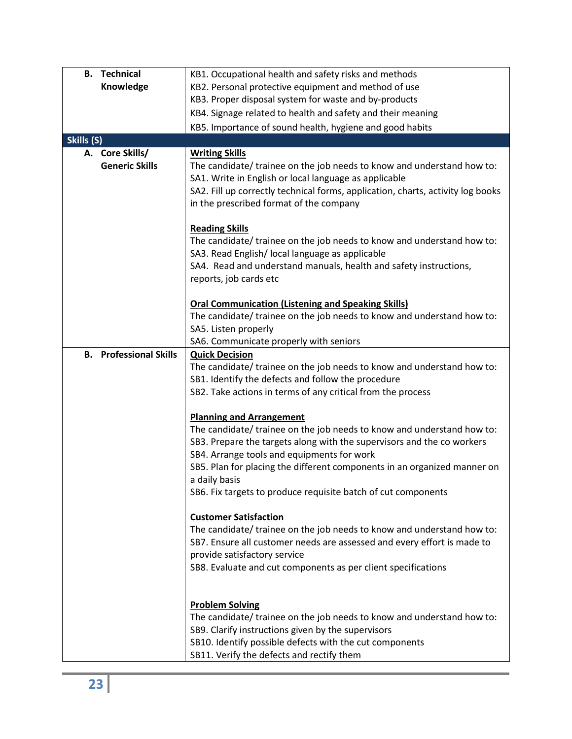| <b>Technical</b><br>В.                  | KB1. Occupational health and safety risks and methods                                                             |  |  |
|-----------------------------------------|-------------------------------------------------------------------------------------------------------------------|--|--|
| Knowledge                               | KB2. Personal protective equipment and method of use                                                              |  |  |
|                                         | KB3. Proper disposal system for waste and by-products                                                             |  |  |
|                                         | KB4. Signage related to health and safety and their meaning                                                       |  |  |
|                                         | KB5. Importance of sound health, hygiene and good habits                                                          |  |  |
| Skills (S)                              |                                                                                                                   |  |  |
| A. Core Skills/                         | <b>Writing Skills</b>                                                                                             |  |  |
| <b>Generic Skills</b>                   | The candidate/ trainee on the job needs to know and understand how to:                                            |  |  |
|                                         | SA1. Write in English or local language as applicable                                                             |  |  |
|                                         | SA2. Fill up correctly technical forms, application, charts, activity log books                                   |  |  |
|                                         | in the prescribed format of the company                                                                           |  |  |
|                                         | <b>Reading Skills</b>                                                                                             |  |  |
|                                         | The candidate/ trainee on the job needs to know and understand how to:                                            |  |  |
|                                         | SA3. Read English/ local language as applicable                                                                   |  |  |
|                                         | SA4. Read and understand manuals, health and safety instructions,                                                 |  |  |
|                                         | reports, job cards etc                                                                                            |  |  |
|                                         |                                                                                                                   |  |  |
|                                         | <b>Oral Communication (Listening and Speaking Skills)</b>                                                         |  |  |
|                                         | The candidate/ trainee on the job needs to know and understand how to:                                            |  |  |
|                                         | SA5. Listen properly                                                                                              |  |  |
|                                         | SA6. Communicate properly with seniors                                                                            |  |  |
| <b>Professional Skills</b><br><b>B.</b> | <b>Quick Decision</b>                                                                                             |  |  |
|                                         | The candidate/ trainee on the job needs to know and understand how to:                                            |  |  |
|                                         | SB1. Identify the defects and follow the procedure<br>SB2. Take actions in terms of any critical from the process |  |  |
|                                         |                                                                                                                   |  |  |
|                                         | <b>Planning and Arrangement</b>                                                                                   |  |  |
|                                         | The candidate/ trainee on the job needs to know and understand how to:                                            |  |  |
|                                         | SB3. Prepare the targets along with the supervisors and the co workers                                            |  |  |
|                                         | SB4. Arrange tools and equipments for work                                                                        |  |  |
|                                         | SB5. Plan for placing the different components in an organized manner on                                          |  |  |
|                                         | a daily basis                                                                                                     |  |  |
|                                         | SB6. Fix targets to produce requisite batch of cut components                                                     |  |  |
|                                         | <b>Customer Satisfaction</b>                                                                                      |  |  |
|                                         | The candidate/ trainee on the job needs to know and understand how to:                                            |  |  |
|                                         | SB7. Ensure all customer needs are assessed and every effort is made to                                           |  |  |
|                                         | provide satisfactory service                                                                                      |  |  |
|                                         | SB8. Evaluate and cut components as per client specifications                                                     |  |  |
|                                         |                                                                                                                   |  |  |
|                                         |                                                                                                                   |  |  |
|                                         | <b>Problem Solving</b>                                                                                            |  |  |
|                                         | The candidate/ trainee on the job needs to know and understand how to:                                            |  |  |
|                                         | SB9. Clarify instructions given by the supervisors                                                                |  |  |
|                                         | SB10. Identify possible defects with the cut components                                                           |  |  |
|                                         | SB11. Verify the defects and rectify them                                                                         |  |  |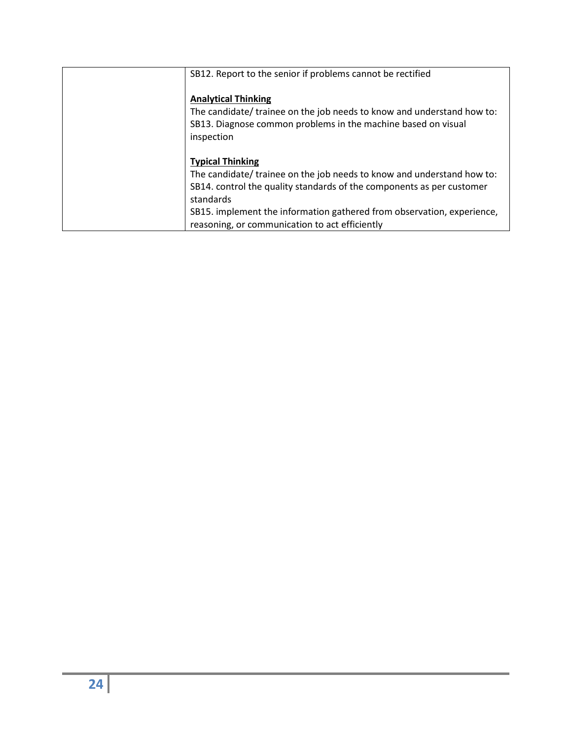| SB12. Report to the senior if problems cannot be rectified                                                                                                                          |
|-------------------------------------------------------------------------------------------------------------------------------------------------------------------------------------|
| <b>Analytical Thinking</b><br>The candidate/ trainee on the job needs to know and understand how to:<br>SB13. Diagnose common problems in the machine based on visual<br>inspection |
| <b>Typical Thinking</b>                                                                                                                                                             |
| The candidate/ trainee on the job needs to know and understand how to:                                                                                                              |
| SB14. control the quality standards of the components as per customer                                                                                                               |
| standards                                                                                                                                                                           |
| SB15. implement the information gathered from observation, experience,                                                                                                              |
| reasoning, or communication to act efficiently                                                                                                                                      |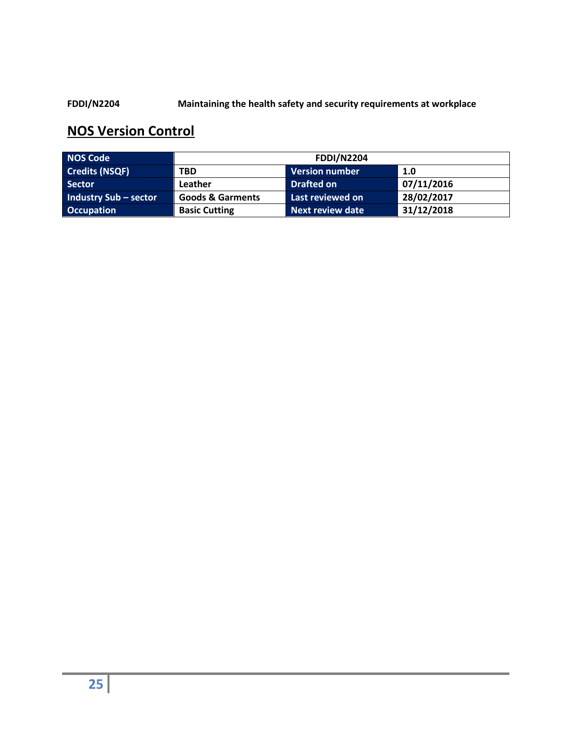#### **FDDI/N2204 Maintaining the health safety and security requirements at workplace**

| <b>NOS Code</b>       | <b>FDDI/N2204</b>                                             |                       |            |  |
|-----------------------|---------------------------------------------------------------|-----------------------|------------|--|
| <b>Credits (NSQF)</b> | <b>TBD</b>                                                    | <b>Version number</b> | 1.0        |  |
| <b>Sector</b>         | Leather                                                       | <b>Drafted on</b>     | 07/11/2016 |  |
| Industry Sub - sector | <b>Goods &amp; Garments</b>                                   | Last reviewed on      | 28/02/2017 |  |
| <b>Occupation</b>     | 31/12/2018<br><b>Basic Cutting</b><br><b>Next review date</b> |                       |            |  |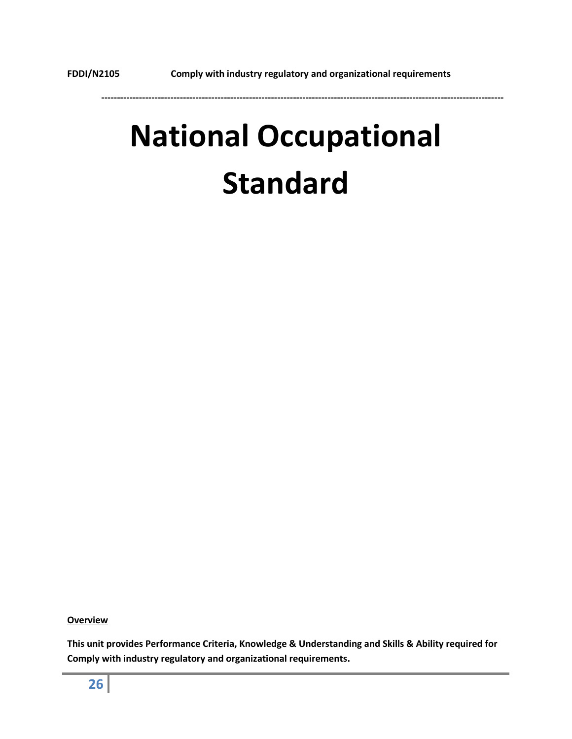# **National Occupational Standard**

**Overview**

**This unit provides Performance Criteria, Knowledge & Understanding and Skills & Ability required for Comply with industry regulatory and organizational requirements.**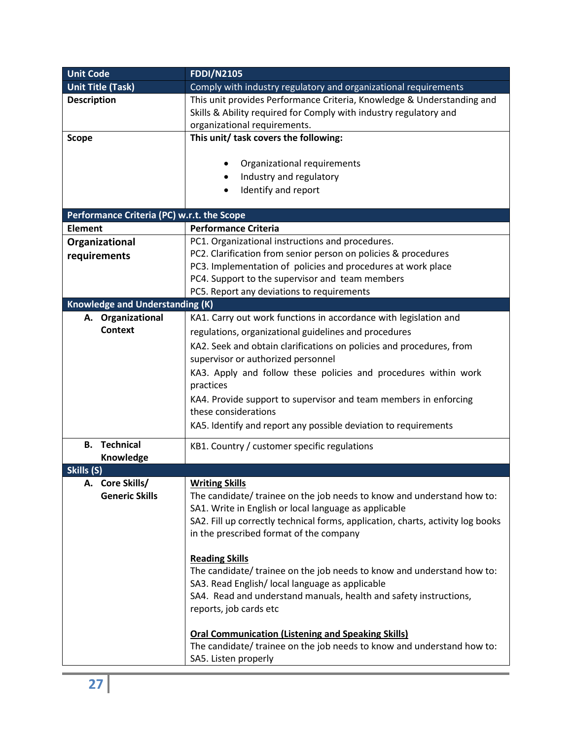| <b>Unit Code</b>                           | <b>FDDI/N2105</b>                                                               |  |  |
|--------------------------------------------|---------------------------------------------------------------------------------|--|--|
| <b>Unit Title (Task)</b>                   | Comply with industry regulatory and organizational requirements                 |  |  |
| <b>Description</b>                         | This unit provides Performance Criteria, Knowledge & Understanding and          |  |  |
|                                            | Skills & Ability required for Comply with industry regulatory and               |  |  |
|                                            | organizational requirements.                                                    |  |  |
| <b>Scope</b>                               | This unit/ task covers the following:                                           |  |  |
|                                            |                                                                                 |  |  |
|                                            | Organizational requirements                                                     |  |  |
|                                            | Industry and regulatory<br>٠                                                    |  |  |
|                                            | Identify and report                                                             |  |  |
|                                            |                                                                                 |  |  |
| Performance Criteria (PC) w.r.t. the Scope |                                                                                 |  |  |
| <b>Element</b>                             | <b>Performance Criteria</b>                                                     |  |  |
| Organizational                             | PC1. Organizational instructions and procedures.                                |  |  |
| requirements                               | PC2. Clarification from senior person on policies & procedures                  |  |  |
|                                            | PC3. Implementation of policies and procedures at work place                    |  |  |
|                                            | PC4. Support to the supervisor and team members                                 |  |  |
|                                            | PC5. Report any deviations to requirements                                      |  |  |
| <b>Knowledge and Understanding (K)</b>     |                                                                                 |  |  |
| A. Organizational                          | KA1. Carry out work functions in accordance with legislation and                |  |  |
| <b>Context</b>                             | regulations, organizational guidelines and procedures                           |  |  |
|                                            | KA2. Seek and obtain clarifications on policies and procedures, from            |  |  |
|                                            | supervisor or authorized personnel                                              |  |  |
|                                            |                                                                                 |  |  |
|                                            | KA3. Apply and follow these policies and procedures within work                 |  |  |
|                                            | practices                                                                       |  |  |
|                                            | KA4. Provide support to supervisor and team members in enforcing                |  |  |
|                                            | these considerations                                                            |  |  |
|                                            | KA5. Identify and report any possible deviation to requirements                 |  |  |
| <b>Technical</b><br>В.                     | KB1. Country / customer specific regulations                                    |  |  |
| Knowledge                                  |                                                                                 |  |  |
| Skills (S)                                 |                                                                                 |  |  |
| A. Core Skills/                            | <b>Writing Skills</b>                                                           |  |  |
| <b>Generic Skills</b>                      | The candidate/ trainee on the job needs to know and understand how to:          |  |  |
|                                            | SA1. Write in English or local language as applicable                           |  |  |
|                                            | SA2. Fill up correctly technical forms, application, charts, activity log books |  |  |
|                                            | in the prescribed format of the company                                         |  |  |
|                                            |                                                                                 |  |  |
|                                            | <b>Reading Skills</b>                                                           |  |  |
|                                            | The candidate/ trainee on the job needs to know and understand how to:          |  |  |
|                                            | SA3. Read English/ local language as applicable                                 |  |  |
|                                            | SA4. Read and understand manuals, health and safety instructions,               |  |  |
|                                            | reports, job cards etc                                                          |  |  |
|                                            |                                                                                 |  |  |
|                                            | <b>Oral Communication (Listening and Speaking Skills)</b>                       |  |  |
|                                            | The candidate/ trainee on the job needs to know and understand how to:          |  |  |
|                                            | SA5. Listen properly                                                            |  |  |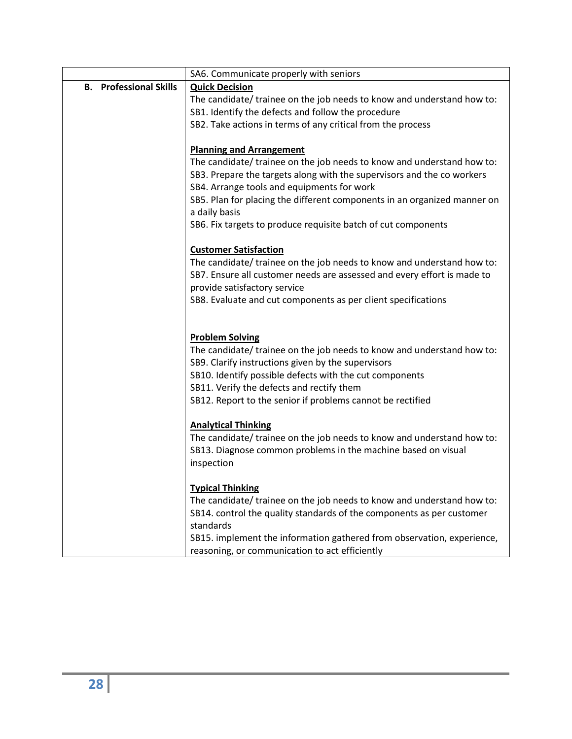|                                  | SA6. Communicate properly with seniors                                   |  |  |
|----------------------------------|--------------------------------------------------------------------------|--|--|
| <b>Professional Skills</b><br>В. | <b>Quick Decision</b>                                                    |  |  |
|                                  | The candidate/ trainee on the job needs to know and understand how to:   |  |  |
|                                  | SB1. Identify the defects and follow the procedure                       |  |  |
|                                  | SB2. Take actions in terms of any critical from the process              |  |  |
|                                  |                                                                          |  |  |
|                                  | <b>Planning and Arrangement</b>                                          |  |  |
|                                  | The candidate/ trainee on the job needs to know and understand how to:   |  |  |
|                                  | SB3. Prepare the targets along with the supervisors and the co workers   |  |  |
|                                  | SB4. Arrange tools and equipments for work                               |  |  |
|                                  | SB5. Plan for placing the different components in an organized manner on |  |  |
|                                  | a daily basis                                                            |  |  |
|                                  | SB6. Fix targets to produce requisite batch of cut components            |  |  |
|                                  |                                                                          |  |  |
|                                  | <b>Customer Satisfaction</b>                                             |  |  |
|                                  | The candidate/ trainee on the job needs to know and understand how to:   |  |  |
|                                  | SB7. Ensure all customer needs are assessed and every effort is made to  |  |  |
|                                  | provide satisfactory service                                             |  |  |
|                                  | SB8. Evaluate and cut components as per client specifications            |  |  |
|                                  |                                                                          |  |  |
|                                  | <b>Problem Solving</b>                                                   |  |  |
|                                  | The candidate/ trainee on the job needs to know and understand how to:   |  |  |
|                                  | SB9. Clarify instructions given by the supervisors                       |  |  |
|                                  | SB10. Identify possible defects with the cut components                  |  |  |
|                                  | SB11. Verify the defects and rectify them                                |  |  |
|                                  | SB12. Report to the senior if problems cannot be rectified               |  |  |
|                                  |                                                                          |  |  |
|                                  | <b>Analytical Thinking</b>                                               |  |  |
|                                  | The candidate/ trainee on the job needs to know and understand how to:   |  |  |
|                                  | SB13. Diagnose common problems in the machine based on visual            |  |  |
|                                  | inspection                                                               |  |  |
|                                  |                                                                          |  |  |
|                                  | <b>Typical Thinking</b>                                                  |  |  |
|                                  | The candidate/ trainee on the job needs to know and understand how to:   |  |  |
|                                  | SB14. control the quality standards of the components as per customer    |  |  |
|                                  | standards                                                                |  |  |
|                                  | SB15. implement the information gathered from observation, experience,   |  |  |
|                                  | reasoning, or communication to act efficiently                           |  |  |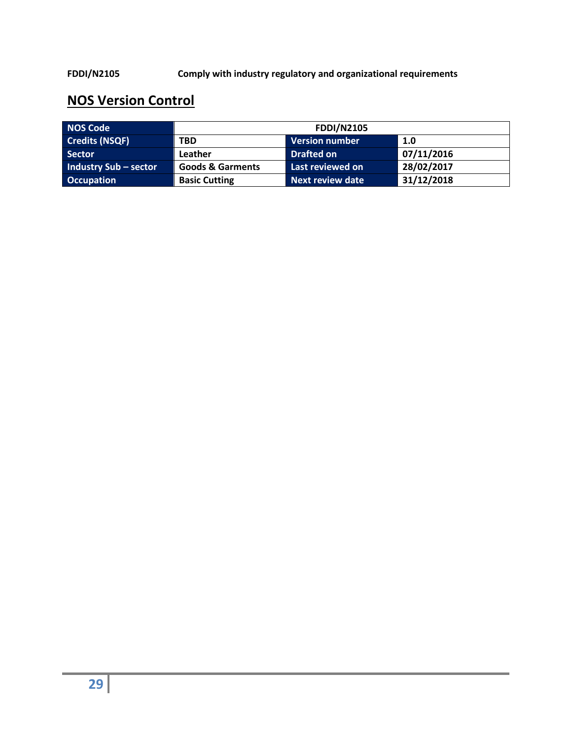**FDDI/N2105 Comply with industry regulatory and organizational requirements**

| <b>NOS Code</b>              | <b>FDDI/N2105</b>                                             |                       |            |  |
|------------------------------|---------------------------------------------------------------|-----------------------|------------|--|
| <b>Credits (NSQF)</b>        | <b>TBD</b>                                                    | <b>Version number</b> | 1.0        |  |
| Sector                       | Leather                                                       | <b>Drafted on</b>     | 07/11/2016 |  |
| <b>Industry Sub - sector</b> | <b>Goods &amp; Garments</b>                                   | Last reviewed on      | 28/02/2017 |  |
| <b>Occupation</b>            | 31/12/2018<br><b>Next review date</b><br><b>Basic Cutting</b> |                       |            |  |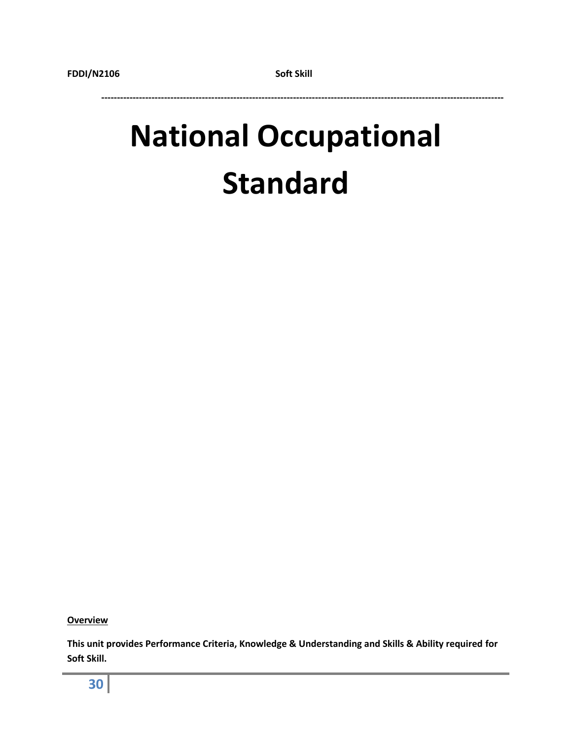# **National Occupational Standard**

**Overview**

**This unit provides Performance Criteria, Knowledge & Understanding and Skills & Ability required for Soft Skill.**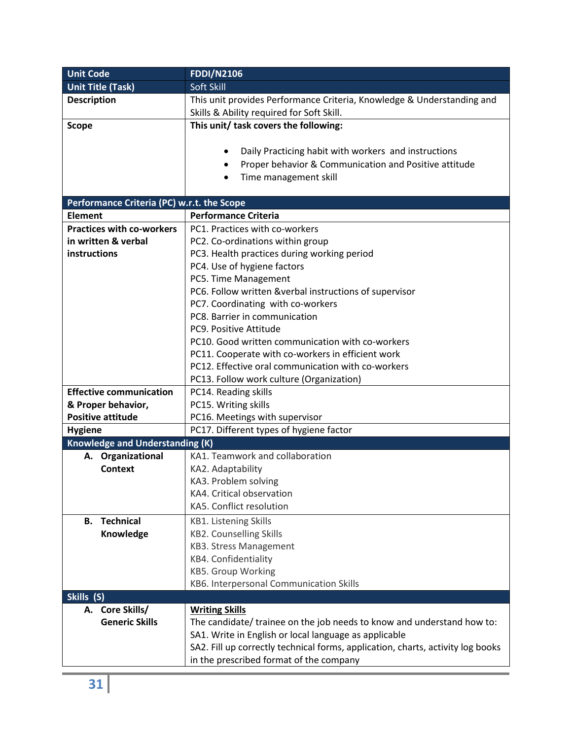| <b>Unit Code</b>                           | <b>FDDI/N2106</b>                                                               |  |  |  |
|--------------------------------------------|---------------------------------------------------------------------------------|--|--|--|
| <b>Unit Title (Task)</b>                   | Soft Skill                                                                      |  |  |  |
| <b>Description</b>                         | This unit provides Performance Criteria, Knowledge & Understanding and          |  |  |  |
|                                            | Skills & Ability required for Soft Skill.                                       |  |  |  |
| <b>Scope</b>                               | This unit/ task covers the following:                                           |  |  |  |
|                                            |                                                                                 |  |  |  |
|                                            | Daily Practicing habit with workers and instructions                            |  |  |  |
|                                            | Proper behavior & Communication and Positive attitude                           |  |  |  |
|                                            | Time management skill<br>$\bullet$                                              |  |  |  |
|                                            |                                                                                 |  |  |  |
| Performance Criteria (PC) w.r.t. the Scope |                                                                                 |  |  |  |
| <b>Element</b>                             | <b>Performance Criteria</b>                                                     |  |  |  |
| <b>Practices with co-workers</b>           | PC1. Practices with co-workers                                                  |  |  |  |
| in written & verbal                        | PC2. Co-ordinations within group                                                |  |  |  |
| instructions                               | PC3. Health practices during working period                                     |  |  |  |
|                                            | PC4. Use of hygiene factors                                                     |  |  |  |
|                                            | PC5. Time Management                                                            |  |  |  |
|                                            | PC6. Follow written &verbal instructions of supervisor                          |  |  |  |
|                                            | PC7. Coordinating with co-workers                                               |  |  |  |
|                                            | PC8. Barrier in communication                                                   |  |  |  |
|                                            | PC9. Positive Attitude                                                          |  |  |  |
|                                            | PC10. Good written communication with co-workers                                |  |  |  |
|                                            | PC11. Cooperate with co-workers in efficient work                               |  |  |  |
|                                            | PC12. Effective oral communication with co-workers                              |  |  |  |
|                                            | PC13. Follow work culture (Organization)                                        |  |  |  |
| <b>Effective communication</b>             | PC14. Reading skills                                                            |  |  |  |
| & Proper behavior,                         | PC15. Writing skills                                                            |  |  |  |
| <b>Positive attitude</b>                   | PC16. Meetings with supervisor                                                  |  |  |  |
| <b>Hygiene</b>                             | PC17. Different types of hygiene factor                                         |  |  |  |
| <b>Knowledge and Understanding (K)</b>     |                                                                                 |  |  |  |
| A. Organizational                          | KA1. Teamwork and collaboration                                                 |  |  |  |
| <b>Context</b>                             | KA2. Adaptability                                                               |  |  |  |
|                                            | KA3. Problem solving                                                            |  |  |  |
|                                            | KA4. Critical observation                                                       |  |  |  |
|                                            | KA5. Conflict resolution                                                        |  |  |  |
| <b>Technical</b><br><b>B.</b>              | <b>KB1. Listening Skills</b>                                                    |  |  |  |
| Knowledge                                  | <b>KB2. Counselling Skills</b>                                                  |  |  |  |
|                                            | <b>KB3. Stress Management</b>                                                   |  |  |  |
|                                            | KB4. Confidentiality                                                            |  |  |  |
|                                            | <b>KB5. Group Working</b>                                                       |  |  |  |
|                                            | KB6. Interpersonal Communication Skills                                         |  |  |  |
| Skills (S)                                 |                                                                                 |  |  |  |
| A. Core Skills/                            | <b>Writing Skills</b>                                                           |  |  |  |
| <b>Generic Skills</b>                      | The candidate/ trainee on the job needs to know and understand how to:          |  |  |  |
|                                            | SA1. Write in English or local language as applicable                           |  |  |  |
|                                            | SA2. Fill up correctly technical forms, application, charts, activity log books |  |  |  |
|                                            | in the prescribed format of the company                                         |  |  |  |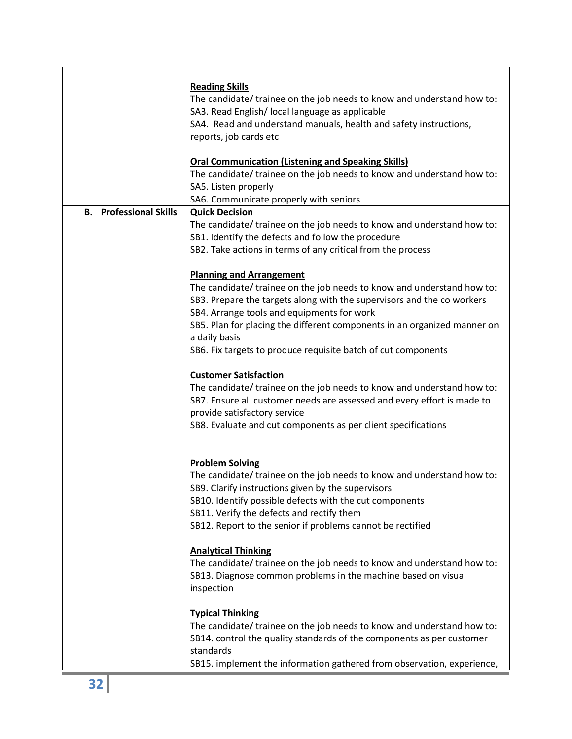|                               | <b>Reading Skills</b><br>The candidate/ trainee on the job needs to know and understand how to:<br>SA3. Read English/ local language as applicable<br>SA4. Read and understand manuals, health and safety instructions,                                                                                                                                                                         |  |  |  |  |  |
|-------------------------------|-------------------------------------------------------------------------------------------------------------------------------------------------------------------------------------------------------------------------------------------------------------------------------------------------------------------------------------------------------------------------------------------------|--|--|--|--|--|
|                               | reports, job cards etc<br><b>Oral Communication (Listening and Speaking Skills)</b><br>The candidate/ trainee on the job needs to know and understand how to:<br>SA5. Listen properly                                                                                                                                                                                                           |  |  |  |  |  |
|                               | SA6. Communicate properly with seniors                                                                                                                                                                                                                                                                                                                                                          |  |  |  |  |  |
| <b>B.</b> Professional Skills | <b>Quick Decision</b><br>The candidate/ trainee on the job needs to know and understand how to:<br>SB1. Identify the defects and follow the procedure<br>SB2. Take actions in terms of any critical from the process                                                                                                                                                                            |  |  |  |  |  |
|                               | <b>Planning and Arrangement</b><br>The candidate/ trainee on the job needs to know and understand how to:<br>SB3. Prepare the targets along with the supervisors and the co workers<br>SB4. Arrange tools and equipments for work<br>SB5. Plan for placing the different components in an organized manner on<br>a daily basis<br>SB6. Fix targets to produce requisite batch of cut components |  |  |  |  |  |
|                               | <b>Customer Satisfaction</b><br>The candidate/ trainee on the job needs to know and understand how to:<br>SB7. Ensure all customer needs are assessed and every effort is made to<br>provide satisfactory service<br>SB8. Evaluate and cut components as per client specifications                                                                                                              |  |  |  |  |  |
|                               | <b>Problem Solving</b><br>The candidate/ trainee on the job needs to know and understand how to:<br>SB9. Clarify instructions given by the supervisors<br>SB10. Identify possible defects with the cut components<br>SB11. Verify the defects and rectify them<br>SB12. Report to the senior if problems cannot be rectified                                                                    |  |  |  |  |  |
|                               | <b>Analytical Thinking</b><br>The candidate/ trainee on the job needs to know and understand how to:<br>SB13. Diagnose common problems in the machine based on visual<br>inspection                                                                                                                                                                                                             |  |  |  |  |  |
|                               | <b>Typical Thinking</b><br>The candidate/ trainee on the job needs to know and understand how to:<br>SB14. control the quality standards of the components as per customer<br>standards<br>SB15. implement the information gathered from observation, experience,                                                                                                                               |  |  |  |  |  |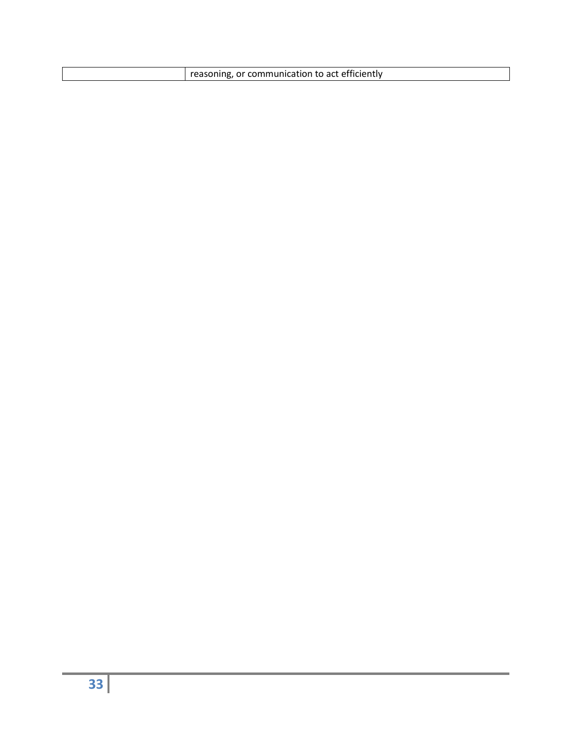| reasoning, or communication to act efficiently |
|------------------------------------------------|
|                                                |